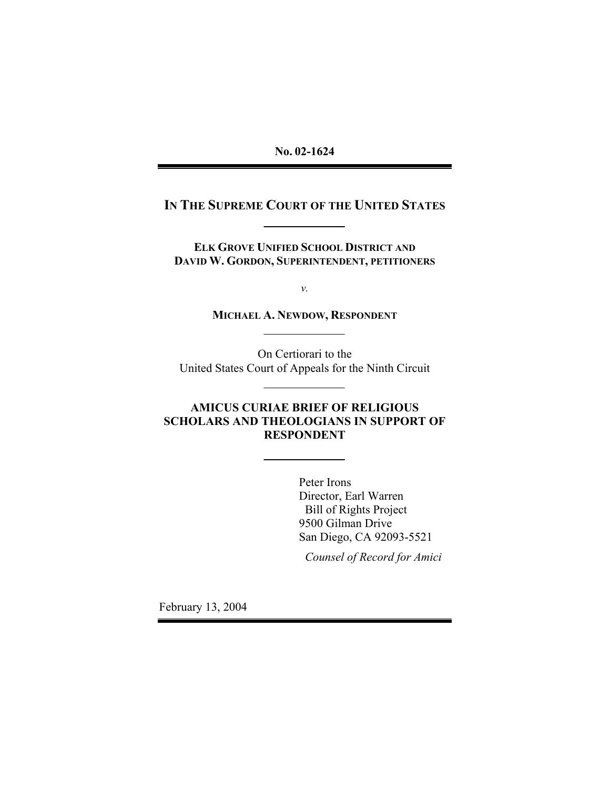# **IN THE SUPREME COURT OF THE UNITED STATES**

**ELK GROVE UNIFIED SCHOOL DISTRICT AND DAVID W. GORDON, SUPERINTENDENT, PETITIONERS** 

*v.* 

**MICHAEL A. NEWDOW, RESPONDENT**

On Certiorari to the United States Court of Appeals for the Ninth Circuit

# **AMICUS CURIAE BRIEF OF RELIGIOUS SCHOLARS AND THEOLOGIANS IN SUPPORT OF RESPONDENT**

Peter Irons Director, Earl Warren Bill of Rights Project 9500 Gilman Drive San Diego, CA 92093-5521

*Counsel of Record for Amici* 

February 13, 2004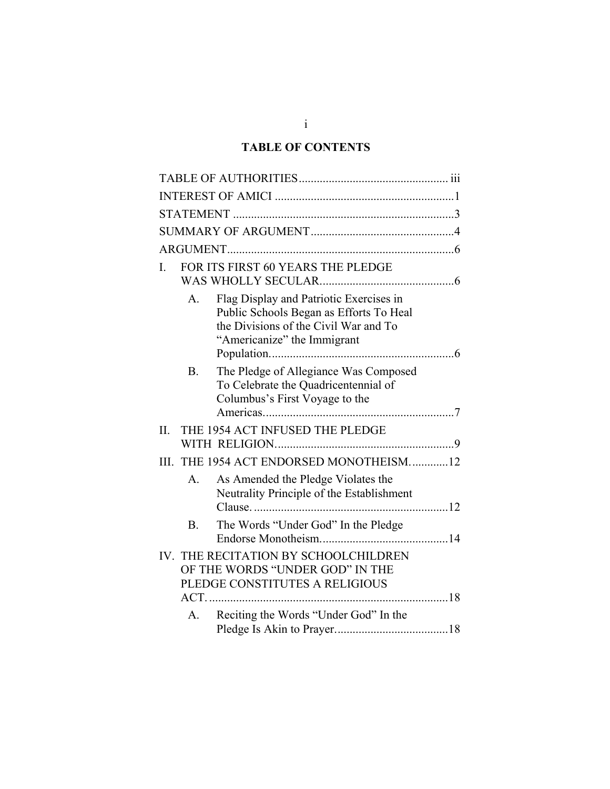# **TABLE OF CONTENTS**

| L   | FOR ITS FIRST 60 YEARS THE PLEDGE |                                                                                                                                                            |  |  |
|-----|-----------------------------------|------------------------------------------------------------------------------------------------------------------------------------------------------------|--|--|
|     | $A_{\cdot}$                       | Flag Display and Patriotic Exercises in<br>Public Schools Began as Efforts To Heal<br>the Divisions of the Civil War and To<br>"Americanize" the Immigrant |  |  |
|     | <b>B.</b>                         | The Pledge of Allegiance Was Composed<br>To Celebrate the Quadricentennial of<br>Columbus's First Voyage to the                                            |  |  |
| II. |                                   | THE 1954 ACT INFUSED THE PLEDGE                                                                                                                            |  |  |
|     |                                   | III. THE 1954 ACT ENDORSED MONOTHEISM12                                                                                                                    |  |  |
|     | $A_{\cdot}$                       | As Amended the Pledge Violates the<br>Neutrality Principle of the Establishment                                                                            |  |  |
|     | B <sub>1</sub>                    | The Words "Under God" In the Pledge                                                                                                                        |  |  |
|     | $ACT.$                            | IV. THE RECITATION BY SCHOOLCHILDREN<br>OF THE WORDS "UNDER GOD" IN THE<br>PLEDGE CONSTITUTES A RELIGIOUS                                                  |  |  |
|     | $A_{-}$                           | Reciting the Words "Under God" In the                                                                                                                      |  |  |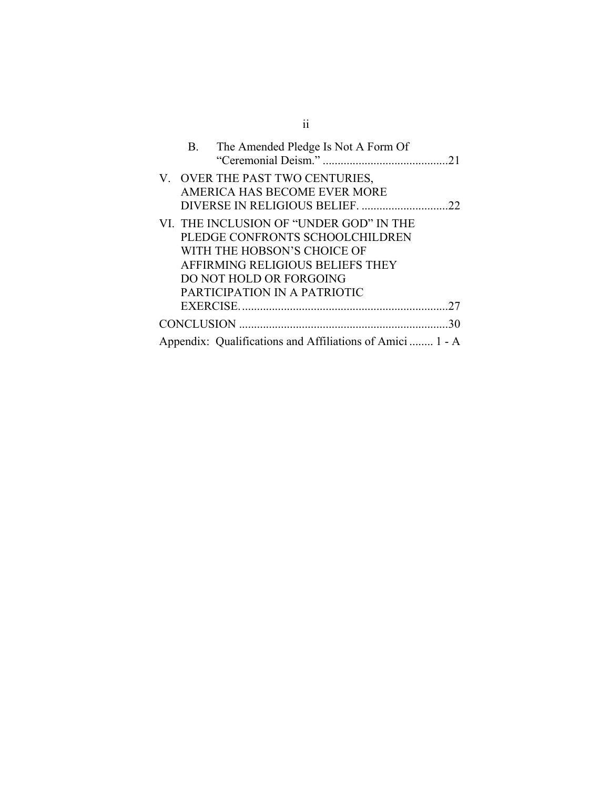|  | B. The Amended Pledge Is Not A Form Of                                                                                                                                                                   |    |
|--|----------------------------------------------------------------------------------------------------------------------------------------------------------------------------------------------------------|----|
|  | V. OVER THE PAST TWO CENTURIES,<br>AMERICA HAS BECOME EVER MORE                                                                                                                                          |    |
|  | VI. THE INCLUSION OF "UNDER GOD" IN THE<br>PLEDGE CONFRONTS SCHOOLCHILDREN<br>WITH THE HOBSON'S CHOICE OF<br>AFFIRMING RELIGIOUS BELIEFS THEY<br>DO NOT HOLD OR FORGOING<br>PARTICIPATION IN A PATRIOTIC |    |
|  |                                                                                                                                                                                                          |    |
|  |                                                                                                                                                                                                          | 30 |
|  | Appendix: Qualifications and Affiliations of Amici  1 - A                                                                                                                                                |    |

ii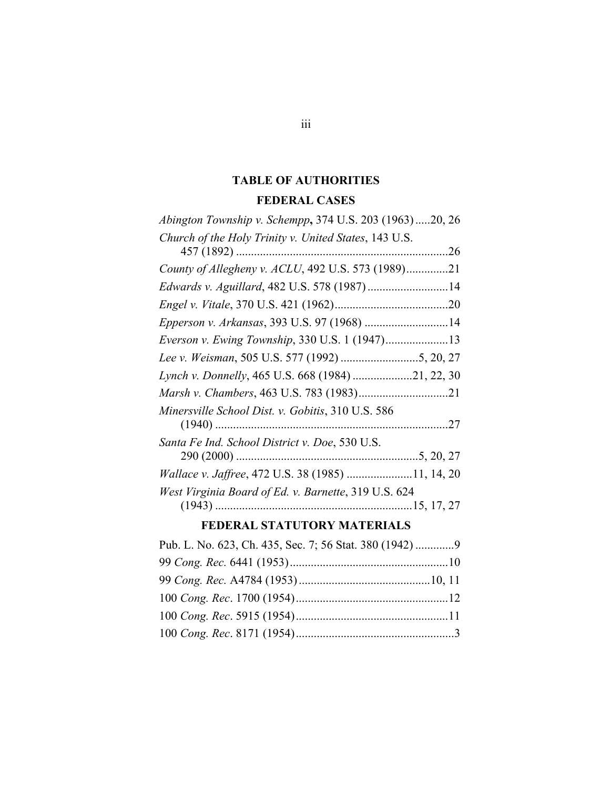# **TABLE OF AUTHORITIES FEDERAL CASES**

<span id="page-3-0"></span>

| Abington Township v. Schempp, 374 U.S. 203 (1963)20, 26 |  |
|---------------------------------------------------------|--|
| Church of the Holy Trinity v. United States, 143 U.S.   |  |
|                                                         |  |
| County of Allegheny v. ACLU, 492 U.S. 573 (1989)21      |  |
| Edwards v. Aguillard, 482 U.S. 578 (1987) 14            |  |
|                                                         |  |
| Epperson v. Arkansas, 393 U.S. 97 (1968) 14             |  |
| Everson v. Ewing Township, 330 U.S. 1 (1947)13          |  |
|                                                         |  |
| Lynch v. Donnelly, 465 U.S. 668 (1984) 21, 22, 30       |  |
|                                                         |  |
| Minersville School Dist. v. Gobitis, 310 U.S. 586       |  |
|                                                         |  |
| Santa Fe Ind. School District v. Doe, 530 U.S.          |  |
|                                                         |  |
| Wallace v. Jaffree, 472 U.S. 38 (1985) 11, 14, 20       |  |
| West Virginia Board of Ed. v. Barnette, 319 U.S. 624    |  |
|                                                         |  |
| RRARD IT AT ITUTADY M I TRAIT A                         |  |

#### **FEDERAL STATUTORY MATERIALS**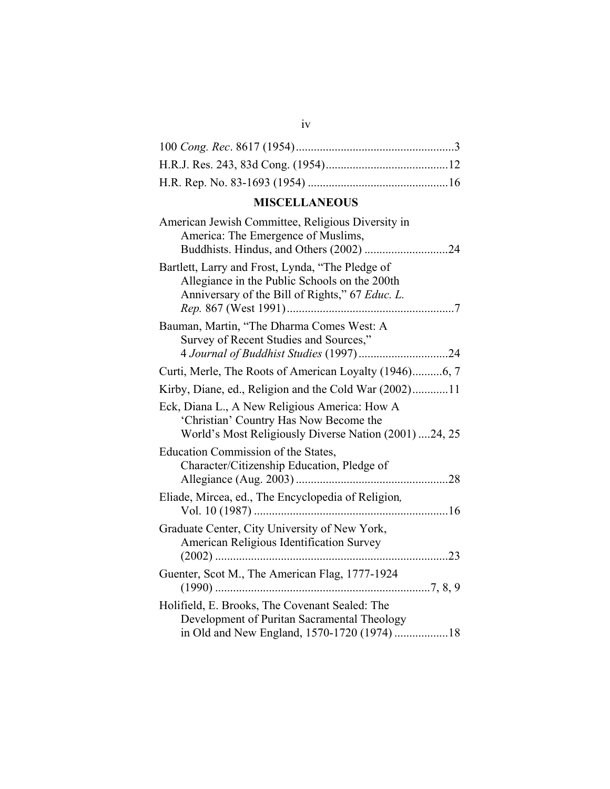# **MISCELLANEOUS**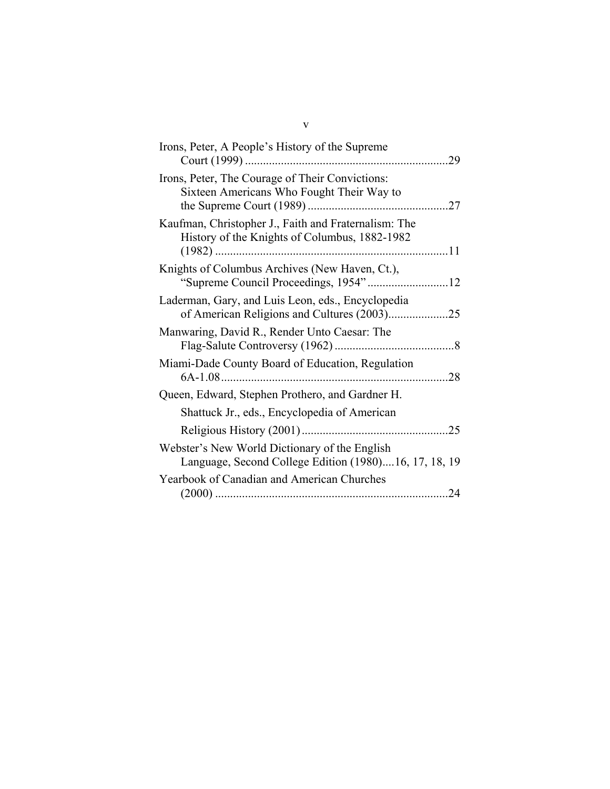| Irons, Peter, A People's History of the Supreme<br>29                                                  |
|--------------------------------------------------------------------------------------------------------|
| Irons, Peter, The Courage of Their Convictions:<br>Sixteen Americans Who Fought Their Way to           |
| Kaufman, Christopher J., Faith and Fraternalism: The<br>History of the Knights of Columbus, 1882-1982  |
| Knights of Columbus Archives (New Haven, Ct.),                                                         |
| Laderman, Gary, and Luis Leon, eds., Encyclopedia<br>of American Religions and Cultures (2003)25       |
| Manwaring, David R., Render Unto Caesar: The                                                           |
| Miami-Dade County Board of Education, Regulation                                                       |
| Queen, Edward, Stephen Prothero, and Gardner H.                                                        |
| Shattuck Jr., eds., Encyclopedia of American                                                           |
| .25                                                                                                    |
| Webster's New World Dictionary of the English<br>Language, Second College Edition (1980)16, 17, 18, 19 |
| <b>Yearbook of Canadian and American Churches</b><br>.24                                               |

v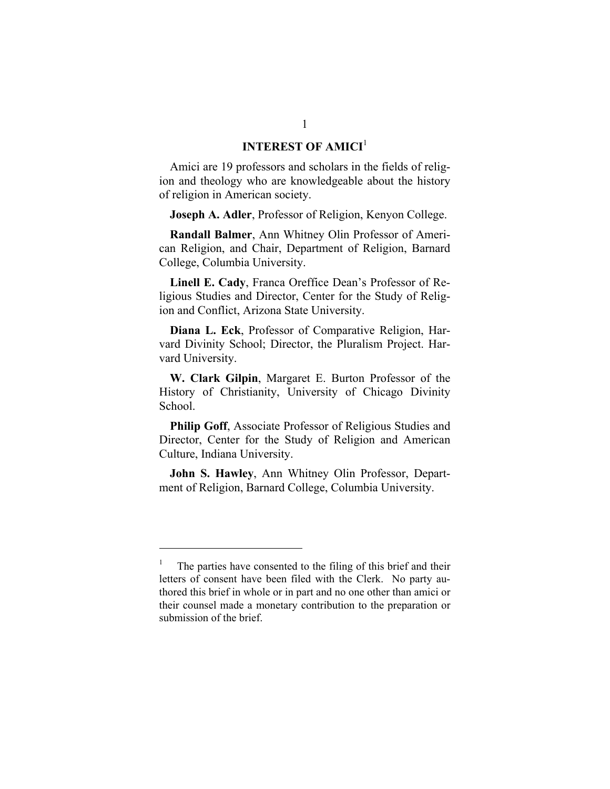# **INTEREST OF AMICI<sup>[1](#page-6-1)</sup>**

<span id="page-6-0"></span>Amici are 19 professors and scholars in the fields of religion and theology who are knowledgeable about the history of religion in American society.

**Joseph A. Adler**, Professor of Religion, Kenyon College.

**Randall Balmer**, Ann Whitney Olin Professor of American Religion, and Chair, Department of Religion, Barnard College, Columbia University.

**Linell E. Cady**, Franca Oreffice Dean's Professor of Religious Studies and Director, Center for the Study of Religion and Conflict, Arizona State University.

**Diana L. Eck**, Professor of Comparative Religion, Harvard Divinity School; Director, the Pluralism Project. Harvard University.

**W. Clark Gilpin**, Margaret E. Burton Professor of the History of Christianity, University of Chicago Divinity School.

**Philip Goff**, Associate Professor of Religious Studies and Director, Center for the Study of Religion and American Culture, Indiana University.

**John S. Hawley**, Ann Whitney Olin Professor, Department of Religion, Barnard College, Columbia University.

l

<span id="page-6-1"></span><sup>&</sup>lt;sup>1</sup> The parties have consented to the filing of this brief and their letters of consent have been filed with the Clerk. No party authored this brief in whole or in part and no one other than amici or their counsel made a monetary contribution to the preparation or submission of the brief.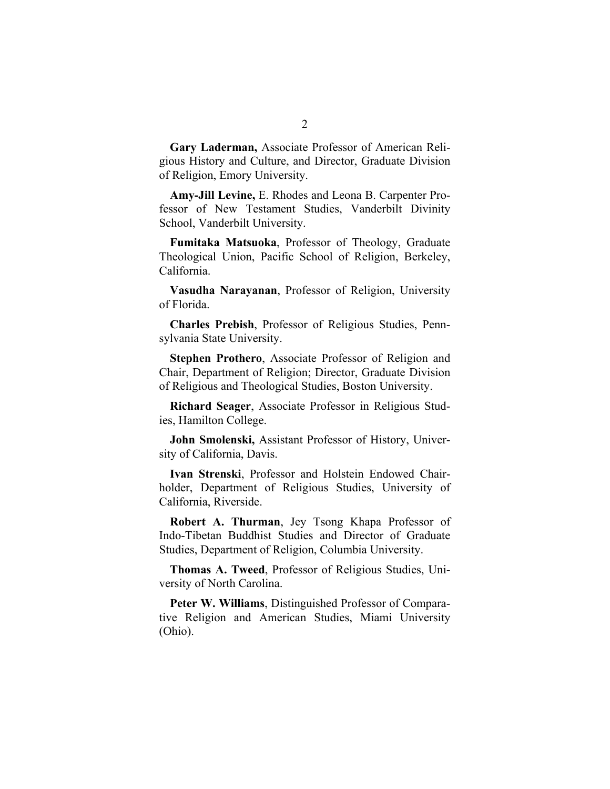**Gary Laderman,** Associate Professor of American Religious History and Culture, and Director, Graduate Division of Religion, Emory University.

**Amy-Jill Levine,** E. Rhodes and Leona B. Carpenter Professor of New Testament Studies, Vanderbilt Divinity School, Vanderbilt University.

**Fumitaka Matsuoka**, Professor of Theology, Graduate Theological Union, Pacific School of Religion, Berkeley, California.

**Vasudha Narayanan**, Professor of Religion, University of Florida.

**Charles Prebish**, Professor of Religious Studies, Pennsylvania State University.

**Stephen Prothero**, Associate Professor of Religion and Chair, Department of Religion; Director, Graduate Division of Religious and Theological Studies, Boston University.

**Richard Seager**, Associate Professor in Religious Studies, Hamilton College.

**John Smolenski,** Assistant Professor of History, University of California, Davis.

**Ivan Strenski**, Professor and Holstein Endowed Chairholder, Department of Religious Studies, University of California, Riverside.

**Robert A. Thurman**, Jey Tsong Khapa Professor of Indo-Tibetan Buddhist Studies and Director of Graduate Studies, Department of Religion, Columbia University.

**Thomas A. Tweed**, Professor of Religious Studies, University of North Carolina.

**Peter W. Williams**, Distinguished Professor of Comparative Religion and American Studies, Miami University (Ohio).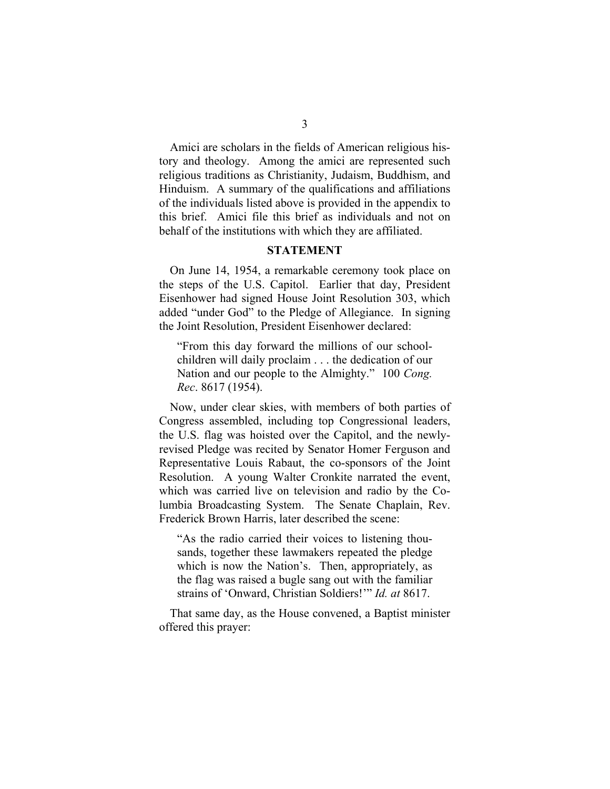<span id="page-8-0"></span>Amici are scholars in the fields of American religious history and theology. Among the amici are represented such religious traditions as Christianity, Judaism, Buddhism, and Hinduism. A summary of the qualifications and affiliations of the individuals listed above is provided in the appendix to this brief. Amici file this brief as individuals and not on behalf of the institutions with which they are affiliated.

#### **STATEMENT**

On June 14, 1954, a remarkable ceremony took place on the steps of the U.S. Capitol. Earlier that day, President Eisenhower had signed House Joint Resolution 303, which added "under God" to the Pledge of Allegiance. In signing the Joint Resolution, President Eisenhower declared:

"From this day forward the millions of our schoolchildren will daily proclaim . . . the dedication of our Nation and our people to the Almighty." 100 *Cong. Rec*. 8617 (1954).

Now, under clear skies, with members of both parties of Congress assembled, including top Congressional leaders, the U.S. flag was hoisted over the Capitol, and the newlyrevised Pledge was recited by Senator Homer Ferguson and Representative Louis Rabaut, the co-sponsors of the Joint Resolution. A young Walter Cronkite narrated the event, which was carried live on television and radio by the Columbia Broadcasting System. The Senate Chaplain, Rev. Frederick Brown Harris, later described the scene:

"As the radio carried their voices to listening thousands, together these lawmakers repeated the pledge which is now the Nation's. Then, appropriately, as the flag was raised a bugle sang out with the familiar strains of 'Onward, Christian Soldiers!'" *Id. at* 8617.

That same day, as the House convened, a Baptist minister offered this prayer: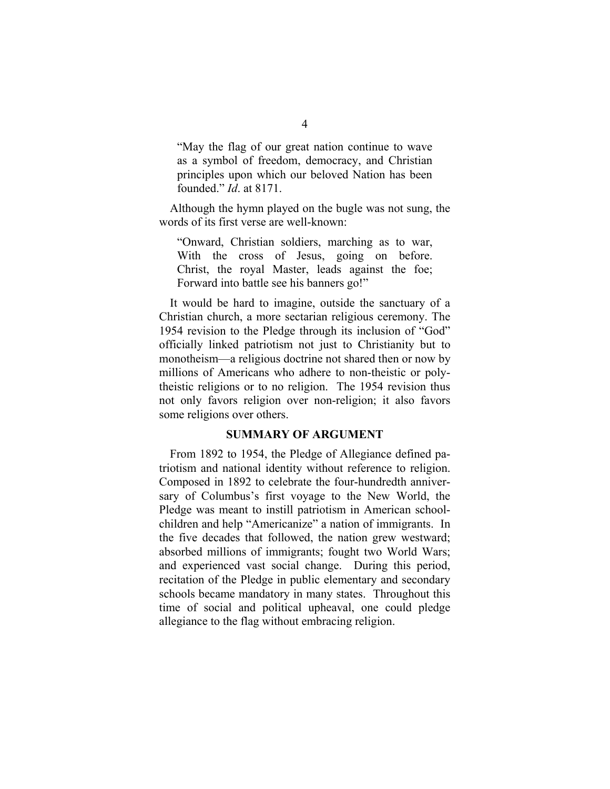<span id="page-9-0"></span>"May the flag of our great nation continue to wave as a symbol of freedom, democracy, and Christian principles upon which our beloved Nation has been founded." *Id*. at 8171.

Although the hymn played on the bugle was not sung, the words of its first verse are well-known:

"Onward, Christian soldiers, marching as to war, With the cross of Jesus, going on before. Christ, the royal Master, leads against the foe; Forward into battle see his banners go!"

It would be hard to imagine, outside the sanctuary of a Christian church, a more sectarian religious ceremony. The 1954 revision to the Pledge through its inclusion of "God" officially linked patriotism not just to Christianity but to monotheism—a religious doctrine not shared then or now by millions of Americans who adhere to non-theistic or polytheistic religions or to no religion. The 1954 revision thus not only favors religion over non-religion; it also favors some religions over others.

#### **SUMMARY OF ARGUMENT**

From 1892 to 1954, the Pledge of Allegiance defined patriotism and national identity without reference to religion. Composed in 1892 to celebrate the four-hundredth anniversary of Columbus's first voyage to the New World, the Pledge was meant to instill patriotism in American schoolchildren and help "Americanize" a nation of immigrants. In the five decades that followed, the nation grew westward; absorbed millions of immigrants; fought two World Wars; and experienced vast social change. During this period, recitation of the Pledge in public elementary and secondary schools became mandatory in many states. Throughout this time of social and political upheaval, one could pledge allegiance to the flag without embracing religion.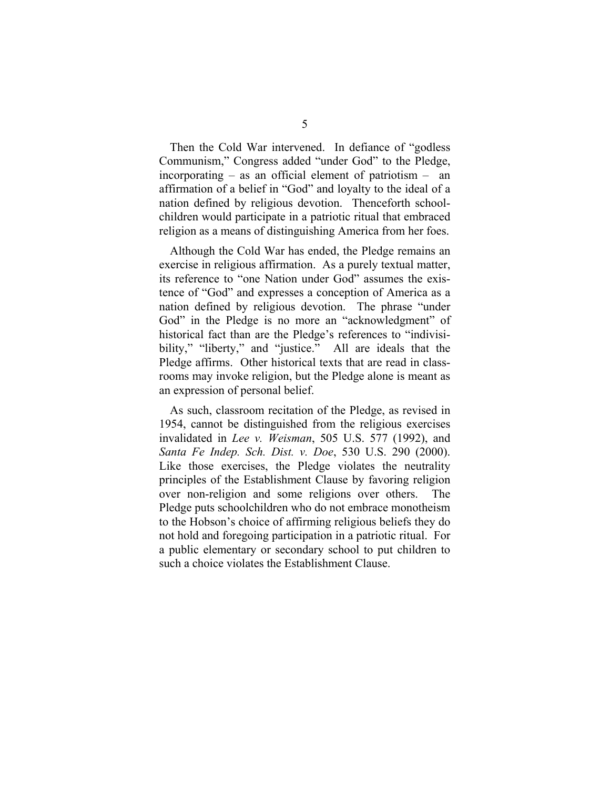Then the Cold War intervened. In defiance of "godless Communism," Congress added "under God" to the Pledge, incorporating – as an official element of patriotism – an affirmation of a belief in "God" and loyalty to the ideal of a nation defined by religious devotion. Thenceforth schoolchildren would participate in a patriotic ritual that embraced religion as a means of distinguishing America from her foes.

Although the Cold War has ended, the Pledge remains an exercise in religious affirmation. As a purely textual matter, its reference to "one Nation under God" assumes the existence of "God" and expresses a conception of America as a nation defined by religious devotion. The phrase "under God" in the Pledge is no more an "acknowledgment" of historical fact than are the Pledge's references to "indivisibility," "liberty," and "justice." All are ideals that the Pledge affirms. Other historical texts that are read in classrooms may invoke religion, but the Pledge alone is meant as an expression of personal belief.

As such, classroom recitation of the Pledge, as revised in 1954, cannot be distinguished from the religious exercises invalidated in *Lee v. Weisman*, 505 U.S. 577 (1992), and *Santa Fe Indep. Sch. Dist. v. Doe*, 530 U.S. 290 (2000). Like those exercises, the Pledge violates the neutrality principles of the Establishment Clause by favoring religion over non-religion and some religions over others. The Pledge puts schoolchildren who do not embrace monotheism to the Hobson's choice of affirming religious beliefs they do not hold and foregoing participation in a patriotic ritual. For a public elementary or secondary school to put children to such a choice violates the Establishment Clause.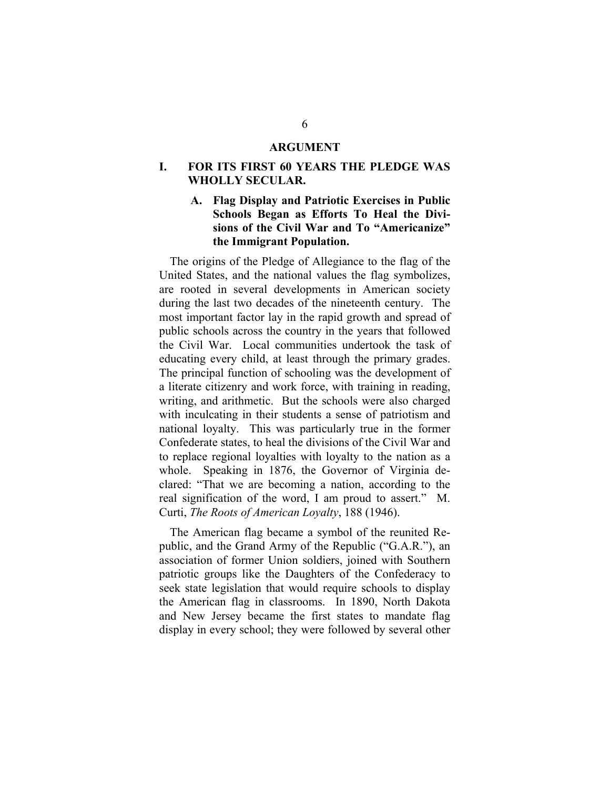#### **ARGUMENT**

## <span id="page-11-0"></span>**I. FOR ITS FIRST 60 YEARS THE PLEDGE WAS WHOLLY SECULAR.**

# **A. Flag Display and Patriotic Exercises in Public Schools Began as Efforts To Heal the Divisions of the Civil War and To "Americanize" the Immigrant Population.**

The origins of the Pledge of Allegiance to the flag of the United States, and the national values the flag symbolizes, are rooted in several developments in American society during the last two decades of the nineteenth century. The most important factor lay in the rapid growth and spread of public schools across the country in the years that followed the Civil War. Local communities undertook the task of educating every child, at least through the primary grades. The principal function of schooling was the development of a literate citizenry and work force, with training in reading, writing, and arithmetic. But the schools were also charged with inculcating in their students a sense of patriotism and national loyalty. This was particularly true in the former Confederate states, to heal the divisions of the Civil War and to replace regional loyalties with loyalty to the nation as a whole. Speaking in 1876, the Governor of Virginia declared: "That we are becoming a nation, according to the real signification of the word, I am proud to assert." M. Curti, *The Roots of American Loyalty*, 188 (1946).

The American flag became a symbol of the reunited Republic, and the Grand Army of the Republic ("G.A.R."), an association of former Union soldiers, joined with Southern patriotic groups like the Daughters of the Confederacy to seek state legislation that would require schools to display the American flag in classrooms. In 1890, North Dakota and New Jersey became the first states to mandate flag display in every school; they were followed by several other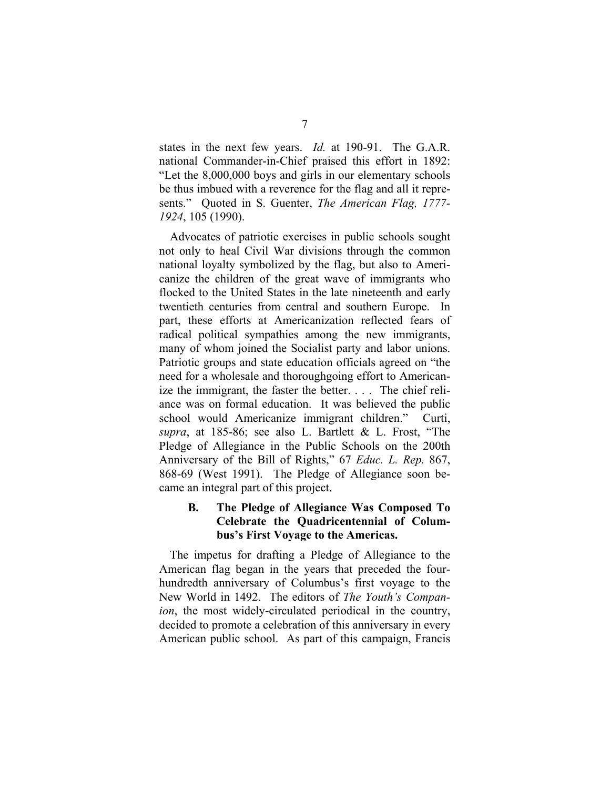<span id="page-12-0"></span>states in the next few years. *Id.* at 190-91. The G.A.R. national Commander-in-Chief praised this effort in 1892: "Let the 8,000,000 boys and girls in our elementary schools be thus imbued with a reverence for the flag and all it represents." Quoted in S. Guenter, *The American Flag, 1777- 1924*, 105 (1990).

Advocates of patriotic exercises in public schools sought not only to heal Civil War divisions through the common national loyalty symbolized by the flag, but also to Americanize the children of the great wave of immigrants who flocked to the United States in the late nineteenth and early twentieth centuries from central and southern Europe. In part, these efforts at Americanization reflected fears of radical political sympathies among the new immigrants, many of whom joined the Socialist party and labor unions. Patriotic groups and state education officials agreed on "the need for a wholesale and thoroughgoing effort to Americanize the immigrant, the faster the better. . . . The chief reliance was on formal education. It was believed the public school would Americanize immigrant children." Curti, *supra*, at 185-86; see also L. Bartlett & L. Frost, "The Pledge of Allegiance in the Public Schools on the 200th Anniversary of the Bill of Rights," 67 *Educ. L. Rep.* 867, 868-69 (West 1991). The Pledge of Allegiance soon became an integral part of this project.

## **B. The Pledge of Allegiance Was Composed To Celebrate the Quadricentennial of Columbus's First Voyage to the Americas.**

The impetus for drafting a Pledge of Allegiance to the American flag began in the years that preceded the fourhundredth anniversary of Columbus's first voyage to the New World in 1492. The editors of *The Youth's Companion*, the most widely-circulated periodical in the country, decided to promote a celebration of this anniversary in every American public school. As part of this campaign, Francis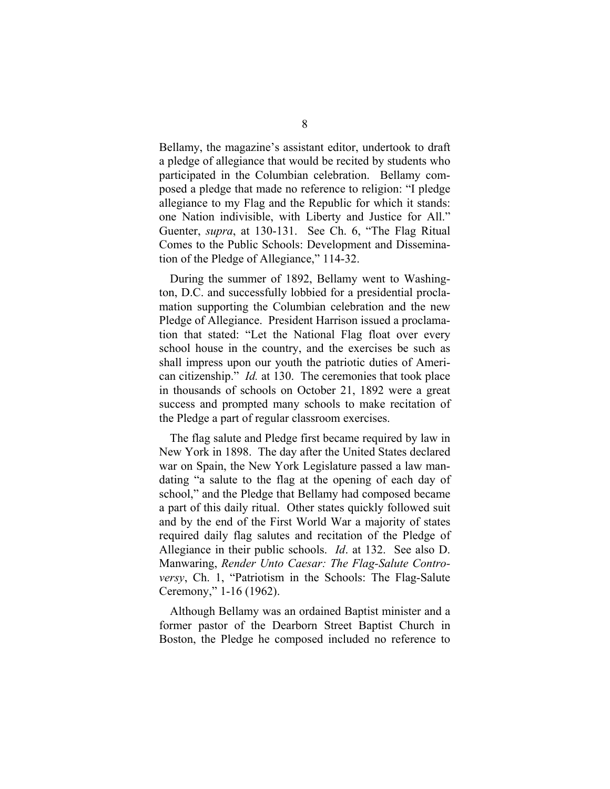Bellamy, the magazine's assistant editor, undertook to draft a pledge of allegiance that would be recited by students who participated in the Columbian celebration. Bellamy composed a pledge that made no reference to religion: "I pledge allegiance to my Flag and the Republic for which it stands: one Nation indivisible, with Liberty and Justice for All." Guenter, *supra*, at 130-131. See Ch. 6, "The Flag Ritual Comes to the Public Schools: Development and Dissemination of the Pledge of Allegiance," 114-32.

During the summer of 1892, Bellamy went to Washington, D.C. and successfully lobbied for a presidential proclamation supporting the Columbian celebration and the new Pledge of Allegiance. President Harrison issued a proclamation that stated: "Let the National Flag float over every school house in the country, and the exercises be such as shall impress upon our youth the patriotic duties of American citizenship." *Id.* at 130. The ceremonies that took place in thousands of schools on October 21, 1892 were a great success and prompted many schools to make recitation of the Pledge a part of regular classroom exercises.

The flag salute and Pledge first became required by law in New York in 1898. The day after the United States declared war on Spain, the New York Legislature passed a law mandating "a salute to the flag at the opening of each day of school," and the Pledge that Bellamy had composed became a part of this daily ritual. Other states quickly followed suit and by the end of the First World War a majority of states required daily flag salutes and recitation of the Pledge of Allegiance in their public schools. *Id*. at 132. See also D. Manwaring, *Render Unto Caesar: The Flag-Salute Controversy*, Ch. 1, "Patriotism in the Schools: The Flag-Salute Ceremony," 1-16 (1962).

Although Bellamy was an ordained Baptist minister and a former pastor of the Dearborn Street Baptist Church in Boston, the Pledge he composed included no reference to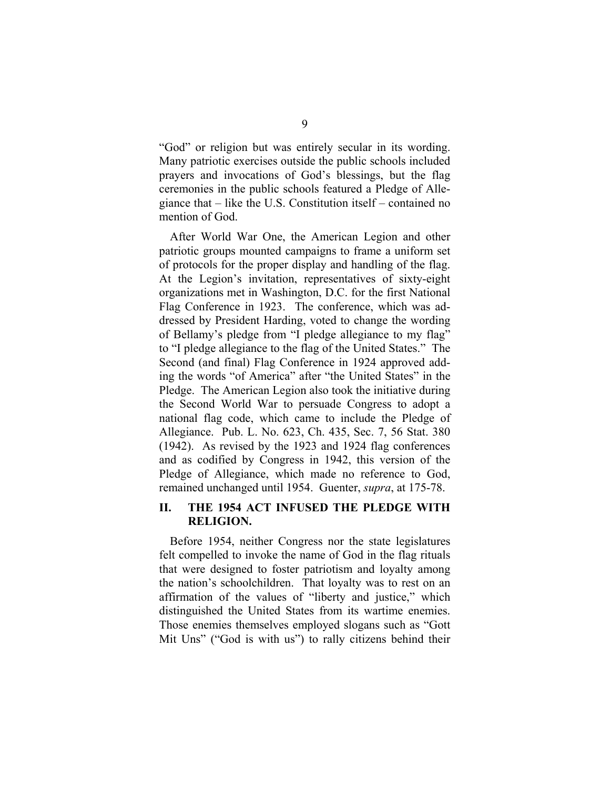<span id="page-14-0"></span>"God" or religion but was entirely secular in its wording. Many patriotic exercises outside the public schools included prayers and invocations of God's blessings, but the flag ceremonies in the public schools featured a Pledge of Allegiance that – like the U.S. Constitution itself – contained no mention of God.

After World War One, the American Legion and other patriotic groups mounted campaigns to frame a uniform set of protocols for the proper display and handling of the flag. At the Legion's invitation, representatives of sixty-eight organizations met in Washington, D.C. for the first National Flag Conference in 1923. The conference, which was addressed by President Harding, voted to change the wording of Bellamy's pledge from "I pledge allegiance to my flag" to "I pledge allegiance to the flag of the United States." The Second (and final) Flag Conference in 1924 approved adding the words "of America" after "the United States" in the Pledge. The American Legion also took the initiative during the Second World War to persuade Congress to adopt a national flag code, which came to include the Pledge of Allegiance. Pub. L. No. 623, Ch. 435, Sec. 7, 56 Stat. 380 (1942). As revised by the 1923 and 1924 flag conferences and as codified by Congress in 1942, this version of the Pledge of Allegiance, which made no reference to God, remained unchanged until 1954. Guenter, *supra*, at 175-78.

#### **II. THE 1954 ACT INFUSED THE PLEDGE WITH RELIGION.**

Before 1954, neither Congress nor the state legislatures felt compelled to invoke the name of God in the flag rituals that were designed to foster patriotism and loyalty among the nation's schoolchildren. That loyalty was to rest on an affirmation of the values of "liberty and justice," which distinguished the United States from its wartime enemies. Those enemies themselves employed slogans such as "Gott Mit Uns" ("God is with us") to rally citizens behind their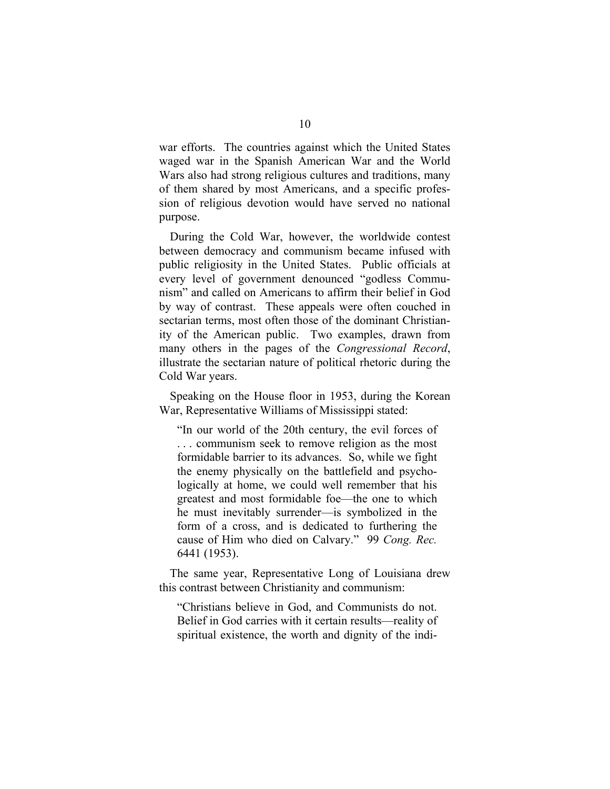war efforts. The countries against which the United States waged war in the Spanish American War and the World Wars also had strong religious cultures and traditions, many of them shared by most Americans, and a specific profession of religious devotion would have served no national purpose.

During the Cold War, however, the worldwide contest between democracy and communism became infused with public religiosity in the United States. Public officials at every level of government denounced "godless Communism" and called on Americans to affirm their belief in God by way of contrast. These appeals were often couched in sectarian terms, most often those of the dominant Christianity of the American public. Two examples, drawn from many others in the pages of the *Congressional Record*, illustrate the sectarian nature of political rhetoric during the Cold War years.

Speaking on the House floor in 1953, during the Korean War, Representative Williams of Mississippi stated:

"In our world of the 20th century, the evil forces of . . . communism seek to remove religion as the most formidable barrier to its advances. So, while we fight the enemy physically on the battlefield and psychologically at home, we could well remember that his greatest and most formidable foe—the one to which he must inevitably surrender—is symbolized in the form of a cross, and is dedicated to furthering the cause of Him who died on Calvary." 99 *Cong. Rec.*  6441 (1953).

The same year, Representative Long of Louisiana drew this contrast between Christianity and communism:

"Christians believe in God, and Communists do not. Belief in God carries with it certain results—reality of spiritual existence, the worth and dignity of the indi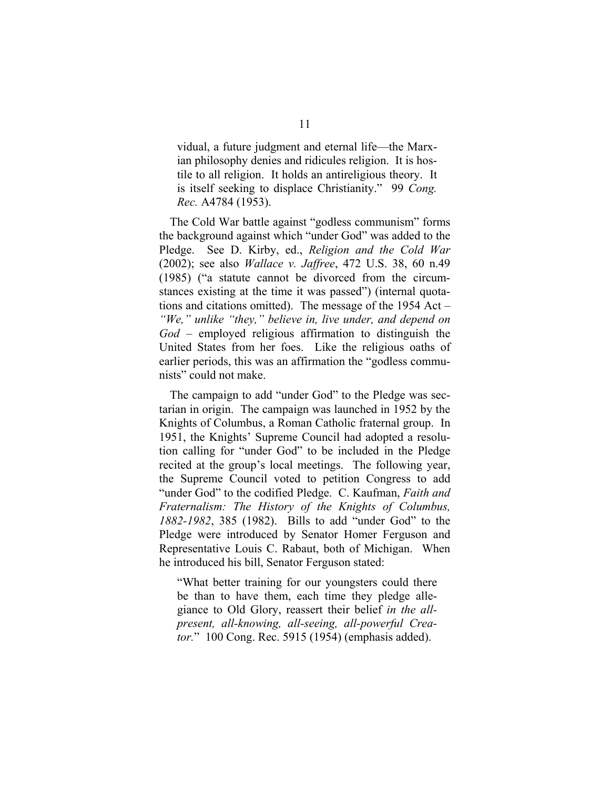vidual, a future judgment and eternal life—the Marxian philosophy denies and ridicules religion. It is hostile to all religion. It holds an antireligious theory. It is itself seeking to displace Christianity." 99 *Cong. Rec.* A4784 (1953).

The Cold War battle against "godless communism" forms the background against which "under God" was added to the Pledge. See D. Kirby, ed., *Religion and the Cold War* (2002); see also *Wallace v. Jaffree*, 472 U.S. 38, 60 n.49 (1985) ("a statute cannot be divorced from the circumstances existing at the time it was passed") (internal quotations and citations omitted). The message of the 1954 Act – *"We," unlike "they," believe in, live under, and depend on God* – employed religious affirmation to distinguish the United States from her foes. Like the religious oaths of earlier periods, this was an affirmation the "godless communists" could not make.

The campaign to add "under God" to the Pledge was sectarian in origin. The campaign was launched in 1952 by the Knights of Columbus, a Roman Catholic fraternal group. In 1951, the Knights' Supreme Council had adopted a resolution calling for "under God" to be included in the Pledge recited at the group's local meetings. The following year, the Supreme Council voted to petition Congress to add "under God" to the codified Pledge. C. Kaufman, *Faith and Fraternalism: The History of the Knights of Columbus, 1882-1982*, 385 (1982). Bills to add "under God" to the Pledge were introduced by Senator Homer Ferguson and Representative Louis C. Rabaut, both of Michigan. When he introduced his bill, Senator Ferguson stated:

"What better training for our youngsters could there be than to have them, each time they pledge allegiance to Old Glory, reassert their belief *in the allpresent, all-knowing, all-seeing, all-powerful Creator.*" 100 Cong. Rec. 5915 (1954) (emphasis added).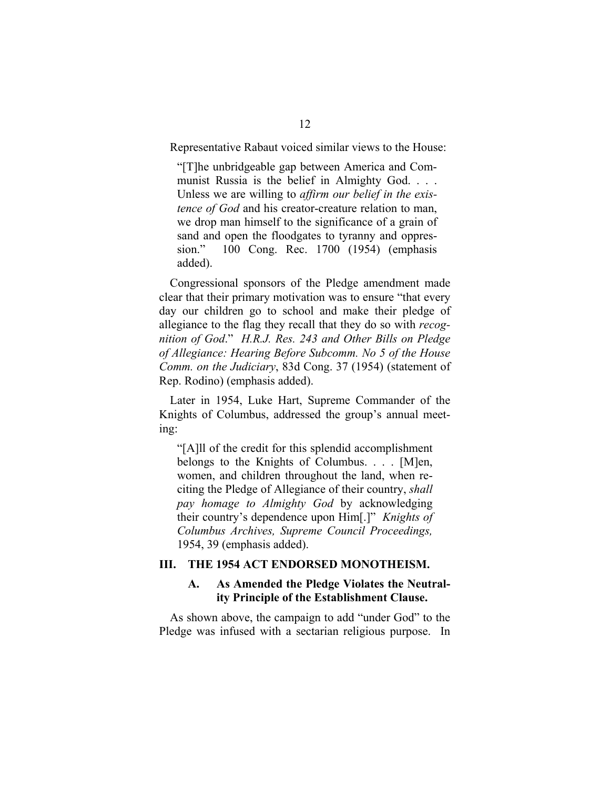<span id="page-17-0"></span>Representative Rabaut voiced similar views to the House:

"[T]he unbridgeable gap between America and Communist Russia is the belief in Almighty God. . . . Unless we are willing to *affirm our belief in the existence of God* and his creator-creature relation to man, we drop man himself to the significance of a grain of sand and open the floodgates to tyranny and oppression." 100 Cong. Rec. 1700 (1954) (emphasis added).

Congressional sponsors of the Pledge amendment made clear that their primary motivation was to ensure "that every day our children go to school and make their pledge of allegiance to the flag they recall that they do so with *recognition of God*." *H.R.J. Res. 243 and Other Bills on Pledge of Allegiance: Hearing Before Subcomm. No 5 of the House Comm. on the Judiciary*, 83d Cong. 37 (1954) (statement of Rep. Rodino) (emphasis added).

Later in 1954, Luke Hart, Supreme Commander of the Knights of Columbus, addressed the group's annual meeting:

"[A]ll of the credit for this splendid accomplishment belongs to the Knights of Columbus. . . . [M]en, women, and children throughout the land, when reciting the Pledge of Allegiance of their country, *shall pay homage to Almighty God* by acknowledging their country's dependence upon Him[.]" *Knights of Columbus Archives, Supreme Council Proceedings,*  1954, 39 (emphasis added).

#### **III. THE 1954 ACT ENDORSED MONOTHEISM.**

#### **A. As Amended the Pledge Violates the Neutrality Principle of the Establishment Clause.**

As shown above, the campaign to add "under God" to the Pledge was infused with a sectarian religious purpose. In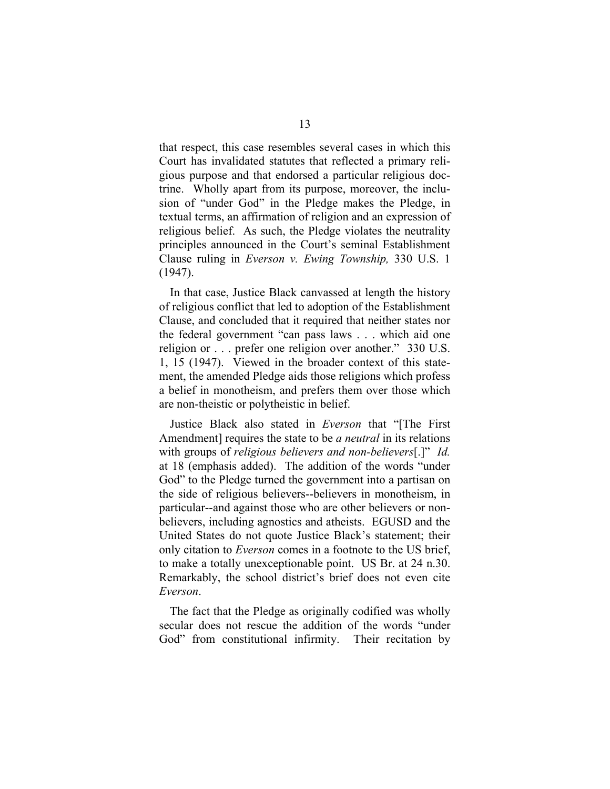that respect, this case resembles several cases in which this Court has invalidated statutes that reflected a primary religious purpose and that endorsed a particular religious doctrine. Wholly apart from its purpose, moreover, the inclusion of "under God" in the Pledge makes the Pledge, in textual terms, an affirmation of religion and an expression of religious belief. As such, the Pledge violates the neutrality principles announced in the Court's seminal Establishment Clause ruling in *Everson v. Ewing Township,* 330 U.S. 1 (1947).

In that case, Justice Black canvassed at length the history of religious conflict that led to adoption of the Establishment Clause, and concluded that it required that neither states nor the federal government "can pass laws . . . which aid one religion or . . . prefer one religion over another." 330 U.S. 1, 15 (1947). Viewed in the broader context of this statement, the amended Pledge aids those religions which profess a belief in monotheism, and prefers them over those which are non-theistic or polytheistic in belief.

Justice Black also stated in *Everson* that "[The First Amendment] requires the state to be *a neutral* in its relations with groups of *religious believers and non-believers*[.]" *Id.*  at 18 (emphasis added). The addition of the words "under God" to the Pledge turned the government into a partisan on the side of religious believers--believers in monotheism, in particular--and against those who are other believers or nonbelievers, including agnostics and atheists. EGUSD and the United States do not quote Justice Black's statement; their only citation to *Everson* comes in a footnote to the US brief, to make a totally unexceptionable point. US Br. at 24 n.30. Remarkably, the school district's brief does not even cite *Everson*.

The fact that the Pledge as originally codified was wholly secular does not rescue the addition of the words "under God" from constitutional infirmity. Their recitation by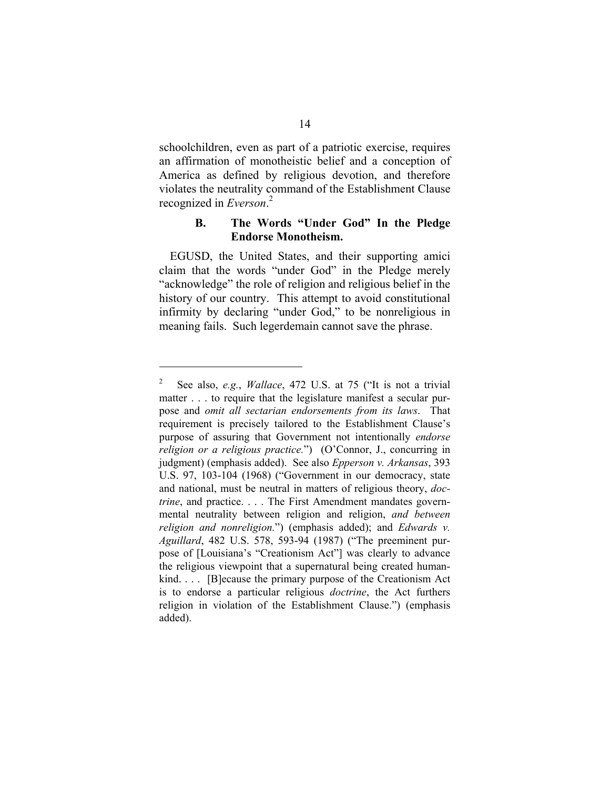<span id="page-19-0"></span>schoolchildren, even as part of a patriotic exercise, requires an affirmation of monotheistic belief and a conception of America as defined by religious devotion, and therefore violates the neutrality command of the Establishment Clause recognized in *Everson*. [2](#page-19-1)

#### **B. The Words "Under God" In the Pledge Endorse Monotheism.**

EGUSD, the United States, and their supporting amici claim that the words "under God" in the Pledge merely "acknowledge" the role of religion and religious belief in the history of our country. This attempt to avoid constitutional infirmity by declaring "under God," to be nonreligious in meaning fails. Such legerdemain cannot save the phrase.

l

<span id="page-19-1"></span><sup>2</sup> See also, *e.g.*, *Wallace*, 472 U.S. at 75 ("It is not a trivial matter . . . to require that the legislature manifest a secular purpose and *omit all sectarian endorsements from its laws*. That requirement is precisely tailored to the Establishment Clause's purpose of assuring that Government not intentionally *endorse religion or a religious practice.*") (O'Connor, J., concurring in judgment) (emphasis added). See also *Epperson v. Arkansas*, 393 U.S. 97, 103-104 (1968) ("Government in our democracy, state and national, must be neutral in matters of religious theory, *doctrine*, and practice. . . . The First Amendment mandates governmental neutrality between religion and religion, *and between religion and nonreligion.*") (emphasis added); and *Edwards v. Aguillard*, 482 U.S. 578, 593-94 (1987) ("The preeminent purpose of [Louisiana's "Creationism Act"] was clearly to advance the religious viewpoint that a supernatural being created humankind. . . . [B]ecause the primary purpose of the Creationism Act is to endorse a particular religious *doctrine*, the Act furthers religion in violation of the Establishment Clause.") (emphasis added).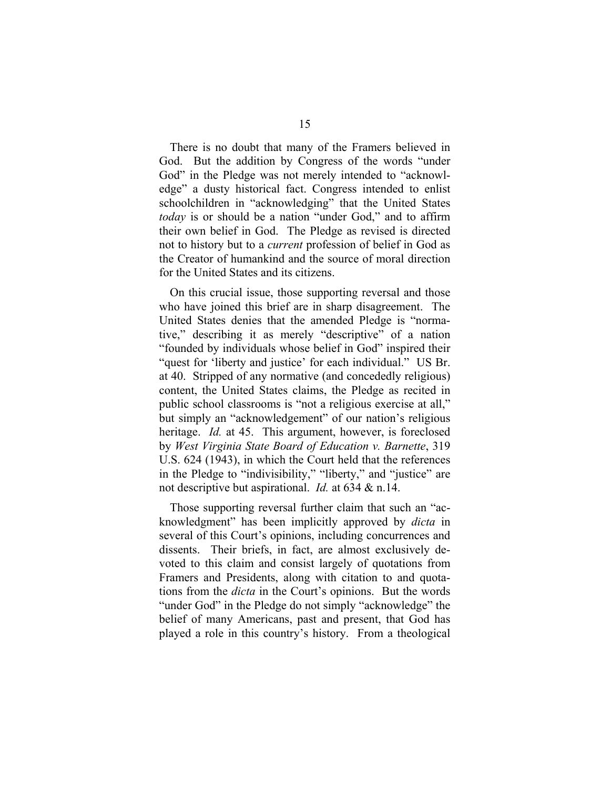There is no doubt that many of the Framers believed in God. But the addition by Congress of the words "under God" in the Pledge was not merely intended to "acknowledge" a dusty historical fact. Congress intended to enlist schoolchildren in "acknowledging" that the United States *today* is or should be a nation "under God," and to affirm their own belief in God. The Pledge as revised is directed not to history but to a *current* profession of belief in God as the Creator of humankind and the source of moral direction for the United States and its citizens.

On this crucial issue, those supporting reversal and those who have joined this brief are in sharp disagreement. The United States denies that the amended Pledge is "normative," describing it as merely "descriptive" of a nation "founded by individuals whose belief in God" inspired their "quest for 'liberty and justice' for each individual." US Br. at 40. Stripped of any normative (and concededly religious) content, the United States claims, the Pledge as recited in public school classrooms is "not a religious exercise at all," but simply an "acknowledgement" of our nation's religious heritage. *Id.* at 45. This argument, however, is foreclosed by *West Virginia State Board of Education v. Barnette*, 319 U.S. 624 (1943), in which the Court held that the references in the Pledge to "indivisibility," "liberty," and "justice" are not descriptive but aspirational. *Id.* at 634 & n.14.

Those supporting reversal further claim that such an "acknowledgment" has been implicitly approved by *dicta* in several of this Court's opinions, including concurrences and dissents. Their briefs, in fact, are almost exclusively devoted to this claim and consist largely of quotations from Framers and Presidents, along with citation to and quotations from the *dicta* in the Court's opinions. But the words "under God" in the Pledge do not simply "acknowledge" the belief of many Americans, past and present, that God has played a role in this country's history. From a theological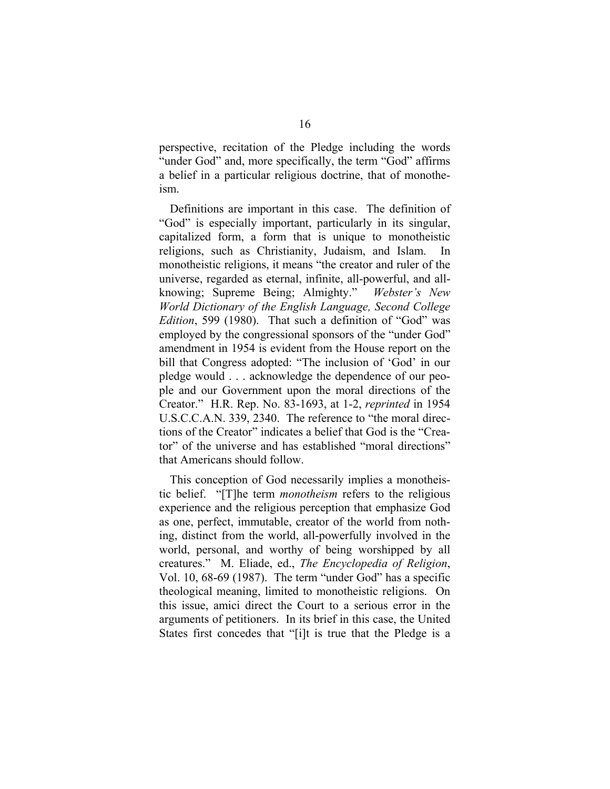perspective, recitation of the Pledge including the words "under God" and, more specifically, the term "God" affirms a belief in a particular religious doctrine, that of monotheism.

Definitions are important in this case. The definition of "God" is especially important, particularly in its singular, capitalized form, a form that is unique to monotheistic religions, such as Christianity, Judaism, and Islam. In monotheistic religions, it means "the creator and ruler of the universe, regarded as eternal, infinite, all-powerful, and allknowing; Supreme Being; Almighty." *Webster's New World Dictionary of the English Language, Second College Edition*, 599 (1980). That such a definition of "God" was employed by the congressional sponsors of the "under God" amendment in 1954 is evident from the House report on the bill that Congress adopted: "The inclusion of 'God' in our pledge would . . . acknowledge the dependence of our people and our Government upon the moral directions of the Creator." H.R. Rep. No. 83-1693, at 1-2, *reprinted* in 1954 U.S.C.C.A.N. 339, 2340. The reference to "the moral directions of the Creator" indicates a belief that God is the "Creator" of the universe and has established "moral directions" that Americans should follow.

This conception of God necessarily implies a monotheistic belief. "[T]he term *monotheism* refers to the religious experience and the religious perception that emphasize God as one, perfect, immutable, creator of the world from nothing, distinct from the world, all-powerfully involved in the world, personal, and worthy of being worshipped by all creatures." M. Eliade, ed., *The Encyclopedia of Religion*, Vol. 10, 68-69 (1987). The term "under God" has a specific theological meaning, limited to monotheistic religions. On this issue, amici direct the Court to a serious error in the arguments of petitioners. In its brief in this case, the United States first concedes that "[i]t is true that the Pledge is a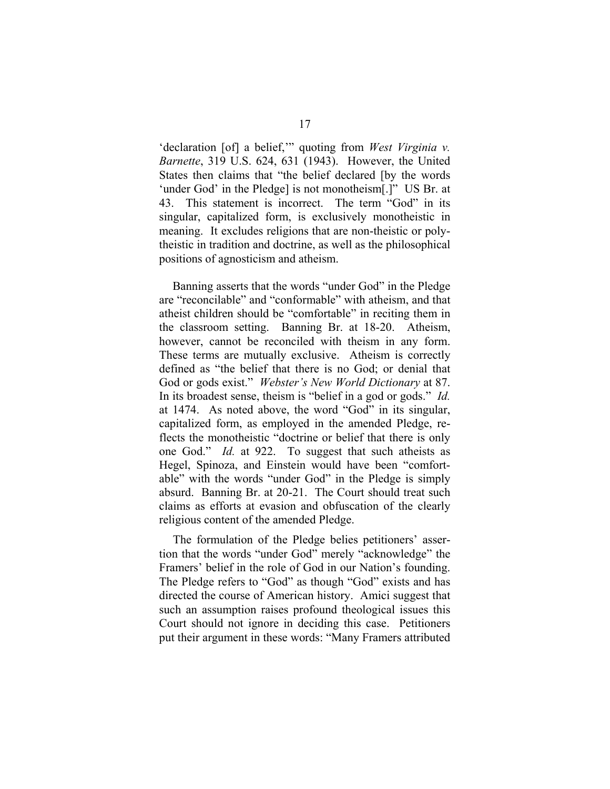'declaration [of] a belief,'" quoting from *West Virginia v. Barnette*, 319 U.S. 624, 631 (1943). However, the United States then claims that "the belief declared [by the words 'under God' in the Pledge] is not monotheism[.]" US Br. at 43. This statement is incorrect. The term "God" in its singular, capitalized form, is exclusively monotheistic in meaning. It excludes religions that are non-theistic or polytheistic in tradition and doctrine, as well as the philosophical positions of agnosticism and atheism.

Banning asserts that the words "under God" in the Pledge are "reconcilable" and "conformable" with atheism, and that atheist children should be "comfortable" in reciting them in the classroom setting. Banning Br. at 18-20. Atheism, however, cannot be reconciled with theism in any form. These terms are mutually exclusive. Atheism is correctly defined as "the belief that there is no God; or denial that God or gods exist." *Webster's New World Dictionary* at 87. In its broadest sense, theism is "belief in a god or gods." *Id.* at 1474. As noted above, the word "God" in its singular, capitalized form, as employed in the amended Pledge, reflects the monotheistic "doctrine or belief that there is only one God." *Id.* at 922. To suggest that such atheists as Hegel, Spinoza, and Einstein would have been "comfortable" with the words "under God" in the Pledge is simply absurd. Banning Br. at 20-21. The Court should treat such claims as efforts at evasion and obfuscation of the clearly religious content of the amended Pledge.

The formulation of the Pledge belies petitioners' assertion that the words "under God" merely "acknowledge" the Framers' belief in the role of God in our Nation's founding. The Pledge refers to "God" as though "God" exists and has directed the course of American history. Amici suggest that such an assumption raises profound theological issues this Court should not ignore in deciding this case. Petitioners put their argument in these words: "Many Framers attributed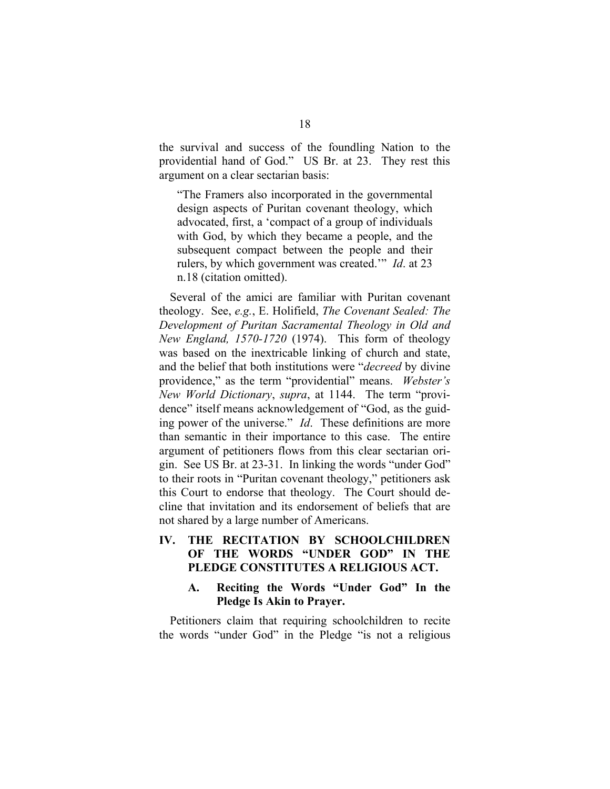<span id="page-23-0"></span>the survival and success of the foundling Nation to the providential hand of God." US Br. at 23. They rest this argument on a clear sectarian basis:

"The Framers also incorporated in the governmental design aspects of Puritan covenant theology, which advocated, first, a 'compact of a group of individuals with God, by which they became a people, and the subsequent compact between the people and their rulers, by which government was created.'" *Id*. at 23 n.18 (citation omitted).

Several of the amici are familiar with Puritan covenant theology. See, *e.g.*, E. Holifield, *The Covenant Sealed: The Development of Puritan Sacramental Theology in Old and New England, 1570-1720* (1974). This form of theology was based on the inextricable linking of church and state, and the belief that both institutions were "*decreed* by divine providence," as the term "providential" means. *Webster's New World Dictionary*, *supra*, at 1144. The term "providence" itself means acknowledgement of "God, as the guiding power of the universe." *Id*. These definitions are more than semantic in their importance to this case. The entire argument of petitioners flows from this clear sectarian origin. See US Br. at 23-31. In linking the words "under God" to their roots in "Puritan covenant theology," petitioners ask this Court to endorse that theology. The Court should decline that invitation and its endorsement of beliefs that are not shared by a large number of Americans.

# **IV. THE RECITATION BY SCHOOLCHILDREN OF THE WORDS "UNDER GOD" IN THE PLEDGE CONSTITUTES A RELIGIOUS ACT.**

#### **A. Reciting the Words "Under God" In the Pledge Is Akin to Prayer.**

Petitioners claim that requiring schoolchildren to recite the words "under God" in the Pledge "is not a religious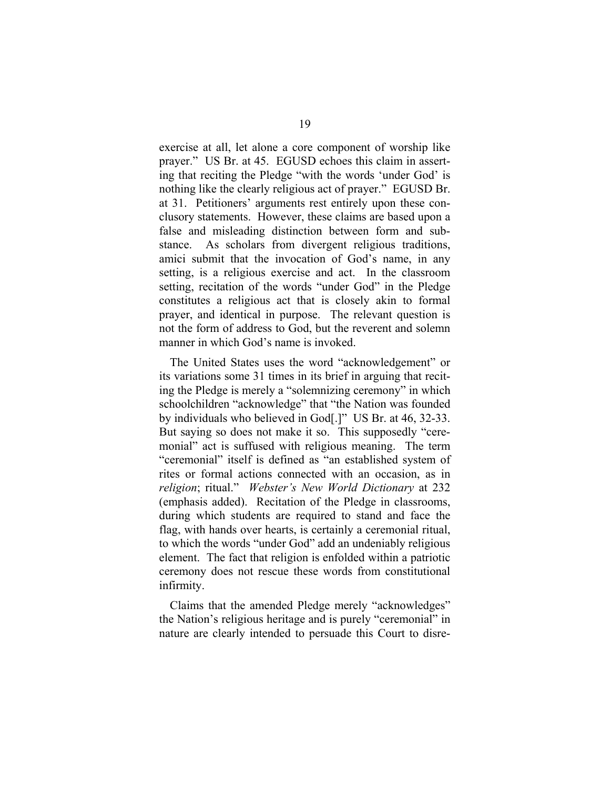exercise at all, let alone a core component of worship like prayer." US Br. at 45. EGUSD echoes this claim in asserting that reciting the Pledge "with the words 'under God' is nothing like the clearly religious act of prayer." EGUSD Br. at 31. Petitioners' arguments rest entirely upon these conclusory statements. However, these claims are based upon a false and misleading distinction between form and substance. As scholars from divergent religious traditions, amici submit that the invocation of God's name, in any setting, is a religious exercise and act. In the classroom setting, recitation of the words "under God" in the Pledge constitutes a religious act that is closely akin to formal prayer, and identical in purpose. The relevant question is not the form of address to God, but the reverent and solemn manner in which God's name is invoked.

The United States uses the word "acknowledgement" or its variations some 31 times in its brief in arguing that reciting the Pledge is merely a "solemnizing ceremony" in which schoolchildren "acknowledge" that "the Nation was founded by individuals who believed in God[.]" US Br. at 46, 32-33. But saying so does not make it so. This supposedly "ceremonial" act is suffused with religious meaning. The term "ceremonial" itself is defined as "an established system of rites or formal actions connected with an occasion, as in *religion*; ritual." *Webster's New World Dictionary* at 232 (emphasis added). Recitation of the Pledge in classrooms, during which students are required to stand and face the flag, with hands over hearts, is certainly a ceremonial ritual, to which the words "under God" add an undeniably religious element. The fact that religion is enfolded within a patriotic ceremony does not rescue these words from constitutional infirmity.

Claims that the amended Pledge merely "acknowledges" the Nation's religious heritage and is purely "ceremonial" in nature are clearly intended to persuade this Court to disre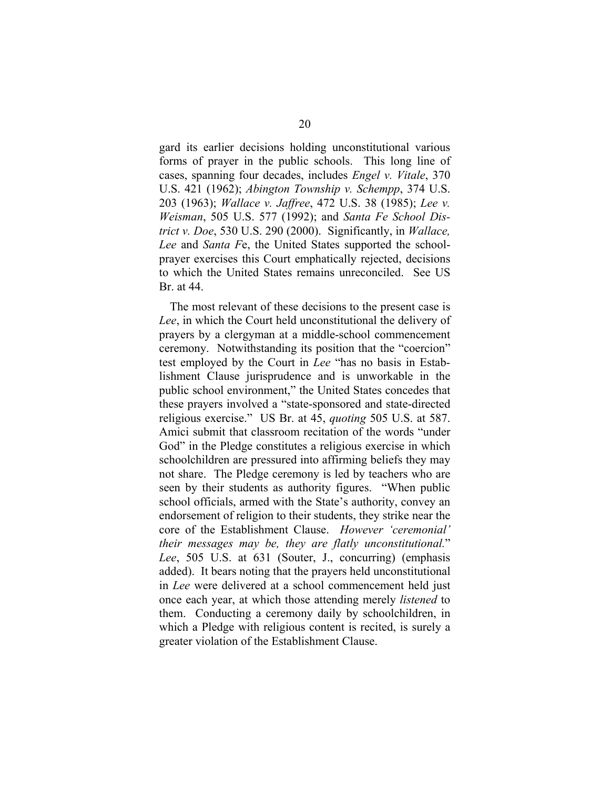gard its earlier decisions holding unconstitutional various forms of prayer in the public schools. This long line of cases, spanning four decades, includes *Engel v. Vitale*, 370 U.S. 421 (1962); *Abington Township v. Schempp*, 374 U.S. 203 (1963); *Wallace v. Jaffree*, 472 U.S. 38 (1985); *Lee v. Weisman*, 505 U.S. 577 (1992); and *Santa Fe School District v. Doe*, 530 U.S. 290 (2000). Significantly, in *Wallace, Lee* and *Santa F*e, the United States supported the schoolprayer exercises this Court emphatically rejected, decisions to which the United States remains unreconciled. See US Br. at 44.

The most relevant of these decisions to the present case is *Lee*, in which the Court held unconstitutional the delivery of prayers by a clergyman at a middle-school commencement ceremony. Notwithstanding its position that the "coercion" test employed by the Court in *Lee* "has no basis in Establishment Clause jurisprudence and is unworkable in the public school environment," the United States concedes that these prayers involved a "state-sponsored and state-directed religious exercise." US Br. at 45, *quoting* 505 U.S. at 587. Amici submit that classroom recitation of the words "under God" in the Pledge constitutes a religious exercise in which schoolchildren are pressured into affirming beliefs they may not share. The Pledge ceremony is led by teachers who are seen by their students as authority figures. "When public school officials, armed with the State's authority, convey an endorsement of religion to their students, they strike near the core of the Establishment Clause. *However 'ceremonial' their messages may be, they are flatly unconstitutional.*" *Lee*, 505 U.S. at 631 (Souter, J., concurring) (emphasis added). It bears noting that the prayers held unconstitutional in *Lee* were delivered at a school commencement held just once each year, at which those attending merely *listened* to them. Conducting a ceremony daily by schoolchildren, in which a Pledge with religious content is recited, is surely a greater violation of the Establishment Clause.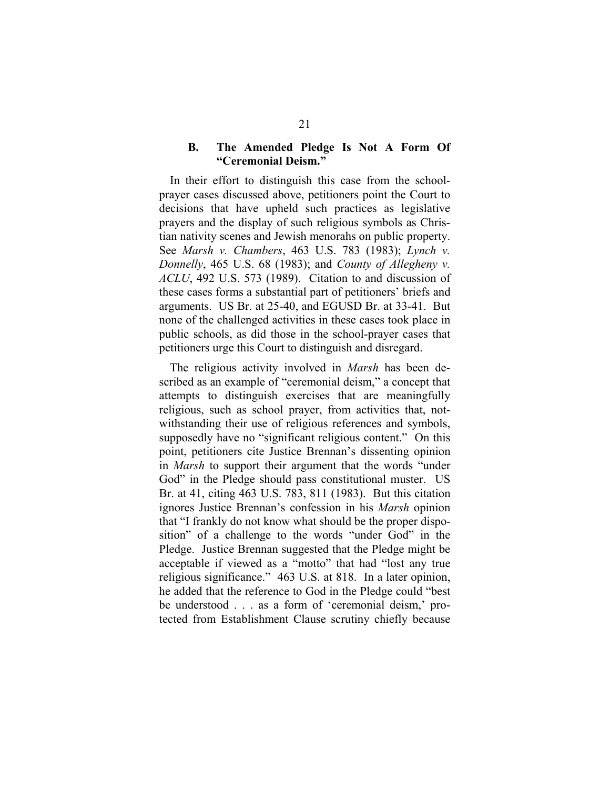#### <span id="page-26-0"></span>**B. The Amended Pledge Is Not A Form Of "Ceremonial Deism."**

In their effort to distinguish this case from the schoolprayer cases discussed above, petitioners point the Court to decisions that have upheld such practices as legislative prayers and the display of such religious symbols as Christian nativity scenes and Jewish menorahs on public property. See *Marsh v. Chambers*, 463 U.S. 783 (1983); *Lynch v. Donnelly*, 465 U.S. 68 (1983); and *County of Allegheny v. ACLU*, 492 U.S. 573 (1989). Citation to and discussion of these cases forms a substantial part of petitioners' briefs and arguments. US Br. at 25-40, and EGUSD Br. at 33-41. But none of the challenged activities in these cases took place in public schools, as did those in the school-prayer cases that petitioners urge this Court to distinguish and disregard.

The religious activity involved in *Marsh* has been described as an example of "ceremonial deism," a concept that attempts to distinguish exercises that are meaningfully religious, such as school prayer, from activities that, notwithstanding their use of religious references and symbols, supposedly have no "significant religious content." On this point, petitioners cite Justice Brennan's dissenting opinion in *Marsh* to support their argument that the words "under God" in the Pledge should pass constitutional muster. US Br. at 41, citing 463 U.S. 783, 811 (1983). But this citation ignores Justice Brennan's confession in his *Marsh* opinion that "I frankly do not know what should be the proper disposition" of a challenge to the words "under God" in the Pledge. Justice Brennan suggested that the Pledge might be acceptable if viewed as a "motto" that had "lost any true religious significance." 463 U.S. at 818. In a later opinion, he added that the reference to God in the Pledge could "best be understood . . . as a form of 'ceremonial deism,' protected from Establishment Clause scrutiny chiefly because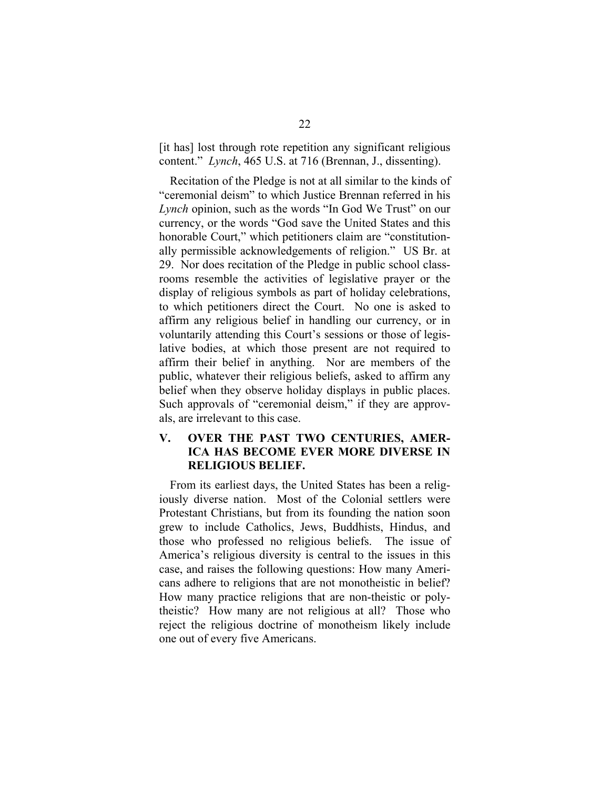<span id="page-27-0"></span>[it has] lost through rote repetition any significant religious content." *Lynch*, 465 U.S. at 716 (Brennan, J., dissenting).

Recitation of the Pledge is not at all similar to the kinds of "ceremonial deism" to which Justice Brennan referred in his *Lynch* opinion, such as the words "In God We Trust" on our currency, or the words "God save the United States and this honorable Court," which petitioners claim are "constitutionally permissible acknowledgements of religion." US Br. at 29. Nor does recitation of the Pledge in public school classrooms resemble the activities of legislative prayer or the display of religious symbols as part of holiday celebrations, to which petitioners direct the Court. No one is asked to affirm any religious belief in handling our currency, or in voluntarily attending this Court's sessions or those of legislative bodies, at which those present are not required to affirm their belief in anything. Nor are members of the public, whatever their religious beliefs, asked to affirm any belief when they observe holiday displays in public places. Such approvals of "ceremonial deism," if they are approvals, are irrelevant to this case.

# **V. OVER THE PAST TWO CENTURIES, AMER-ICA HAS BECOME EVER MORE DIVERSE IN RELIGIOUS BELIEF.**

From its earliest days, the United States has been a religiously diverse nation. Most of the Colonial settlers were Protestant Christians, but from its founding the nation soon grew to include Catholics, Jews, Buddhists, Hindus, and those who professed no religious beliefs. The issue of America's religious diversity is central to the issues in this case, and raises the following questions: How many Americans adhere to religions that are not monotheistic in belief? How many practice religions that are non-theistic or polytheistic? How many are not religious at all? Those who reject the religious doctrine of monotheism likely include one out of every five Americans.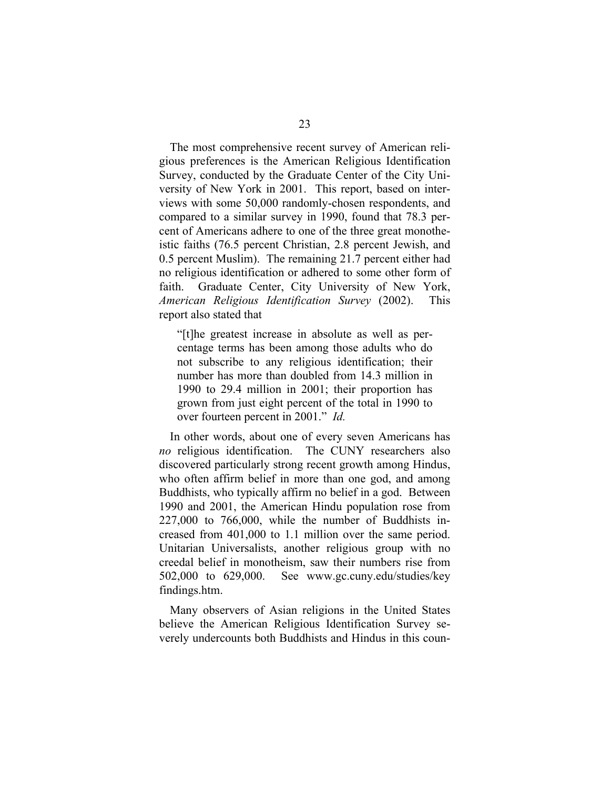The most comprehensive recent survey of American religious preferences is the American Religious Identification Survey, conducted by the Graduate Center of the City University of New York in 2001. This report, based on interviews with some 50,000 randomly-chosen respondents, and compared to a similar survey in 1990, found that 78.3 percent of Americans adhere to one of the three great monotheistic faiths (76.5 percent Christian, 2.8 percent Jewish, and 0.5 percent Muslim). The remaining 21.7 percent either had no religious identification or adhered to some other form of faith. Graduate Center, City University of New York, *American Religious Identification Survey* (2002). This report also stated that

"[t]he greatest increase in absolute as well as percentage terms has been among those adults who do not subscribe to any religious identification; their number has more than doubled from 14.3 million in 1990 to 29.4 million in 2001; their proportion has grown from just eight percent of the total in 1990 to over fourteen percent in 2001." *Id.*

In other words, about one of every seven Americans has *no* religious identification. The CUNY researchers also discovered particularly strong recent growth among Hindus, who often affirm belief in more than one god, and among Buddhists, who typically affirm no belief in a god. Between 1990 and 2001, the American Hindu population rose from 227,000 to 766,000, while the number of Buddhists increased from 401,000 to 1.1 million over the same period. Unitarian Universalists, another religious group with no creedal belief in monotheism, saw their numbers rise from 502,000 to 629,000. See www.gc.cuny.edu/studies/key findings.htm.

Many observers of Asian religions in the United States believe the American Religious Identification Survey severely undercounts both Buddhists and Hindus in this coun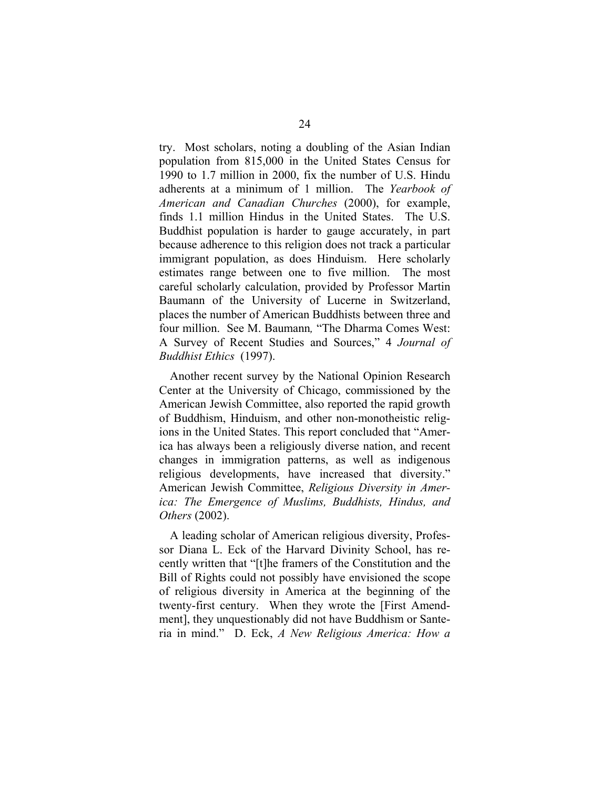try. Most scholars, noting a doubling of the Asian Indian population from 815,000 in the United States Census for 1990 to 1.7 million in 2000, fix the number of U.S. Hindu adherents at a minimum of 1 million. The *Yearbook of American and Canadian Churches* (2000), for example, finds 1.1 million Hindus in the United States. The U.S. Buddhist population is harder to gauge accurately, in part because adherence to this religion does not track a particular immigrant population, as does Hinduism. Here scholarly estimates range between one to five million. The most careful scholarly calculation, provided by Professor Martin Baumann of the University of Lucerne in Switzerland, places the number of American Buddhists between three and four million. See M. Baumann*,* "The Dharma Comes West: A Survey of Recent Studies and Sources," 4 *Journal of Buddhist Ethics* (1997).

Another recent survey by the National Opinion Research Center at the University of Chicago, commissioned by the American Jewish Committee, also reported the rapid growth of Buddhism, Hinduism, and other non-monotheistic religions in the United States. This report concluded that "America has always been a religiously diverse nation, and recent changes in immigration patterns, as well as indigenous religious developments, have increased that diversity." American Jewish Committee, *Religious Diversity in America: The Emergence of Muslims, Buddhists, Hindus, and Others* (2002).

A leading scholar of American religious diversity, Professor Diana L. Eck of the Harvard Divinity School, has recently written that "[t]he framers of the Constitution and the Bill of Rights could not possibly have envisioned the scope of religious diversity in America at the beginning of the twenty-first century. When they wrote the [First Amendment], they unquestionably did not have Buddhism or Santeria in mind." D. Eck, *A New Religious America: How a*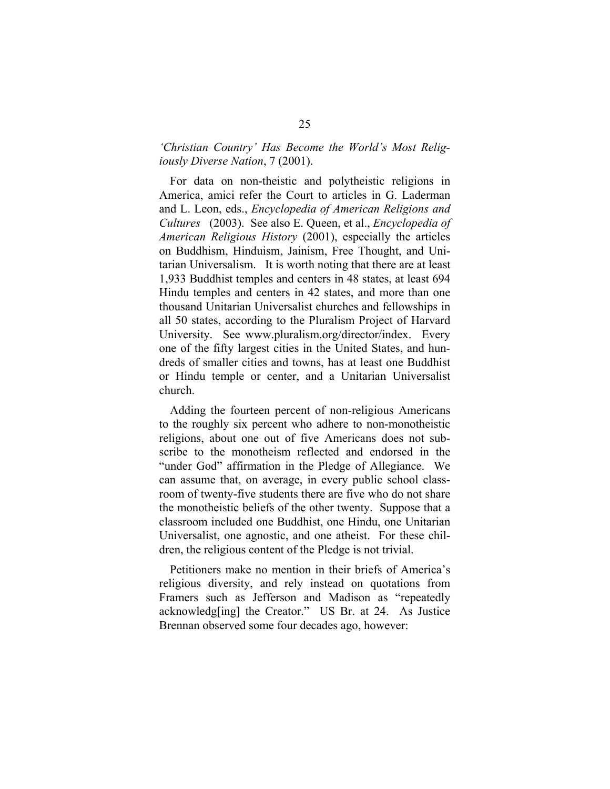# *'Christian Country' Has Become the World's Most Religiously Diverse Nation*, 7 (2001).

For data on non-theistic and polytheistic religions in America, amici refer the Court to articles in G. Laderman and L. Leon, eds., *Encyclopedia of American Religions and Cultures* (2003). See also E. Queen, et al., *Encyclopedia of American Religious History* (2001), especially the articles on Buddhism, Hinduism, Jainism, Free Thought, and Unitarian Universalism. It is worth noting that there are at least 1,933 Buddhist temples and centers in 48 states, at least 694 Hindu temples and centers in 42 states, and more than one thousand Unitarian Universalist churches and fellowships in all 50 states, according to the Pluralism Project of Harvard University. See www.pluralism.org/director/index. Every one of the fifty largest cities in the United States, and hundreds of smaller cities and towns, has at least one Buddhist or Hindu temple or center, and a Unitarian Universalist church.

Adding the fourteen percent of non-religious Americans to the roughly six percent who adhere to non-monotheistic religions, about one out of five Americans does not subscribe to the monotheism reflected and endorsed in the "under God" affirmation in the Pledge of Allegiance. We can assume that, on average, in every public school classroom of twenty-five students there are five who do not share the monotheistic beliefs of the other twenty. Suppose that a classroom included one Buddhist, one Hindu, one Unitarian Universalist, one agnostic, and one atheist. For these children, the religious content of the Pledge is not trivial.

Petitioners make no mention in their briefs of America's religious diversity, and rely instead on quotations from Framers such as Jefferson and Madison as "repeatedly acknowledg[ing] the Creator." US Br. at 24. As Justice Brennan observed some four decades ago, however: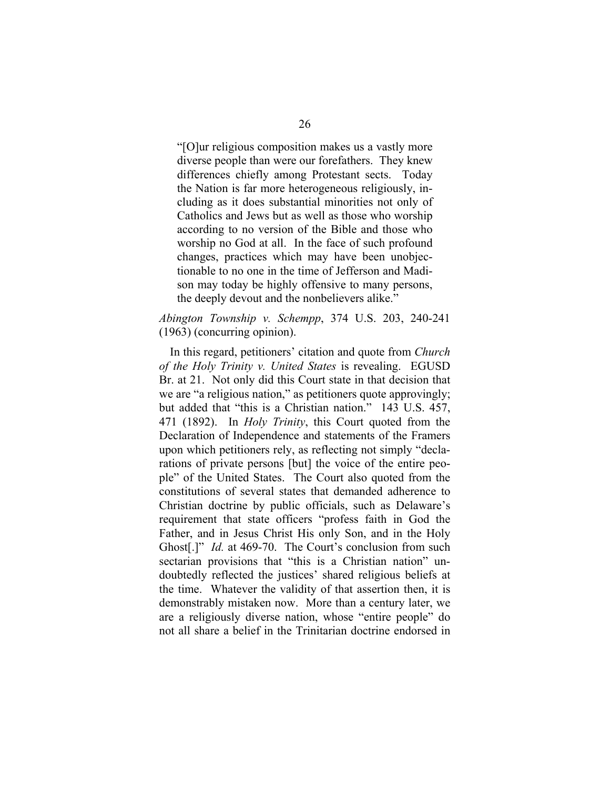"[O]ur religious composition makes us a vastly more diverse people than were our forefathers. They knew differences chiefly among Protestant sects. Today the Nation is far more heterogeneous religiously, including as it does substantial minorities not only of Catholics and Jews but as well as those who worship according to no version of the Bible and those who worship no God at all. In the face of such profound changes, practices which may have been unobjectionable to no one in the time of Jefferson and Madison may today be highly offensive to many persons, the deeply devout and the nonbelievers alike."

#### *Abington Township v. Schempp*, 374 U.S. 203, 240-241 (1963) (concurring opinion).

In this regard, petitioners' citation and quote from *Church of the Holy Trinity v. United States* is revealing. EGUSD Br. at 21. Not only did this Court state in that decision that we are "a religious nation," as petitioners quote approvingly; but added that "this is a Christian nation." 143 U.S. 457, 471 (1892). In *Holy Trinity*, this Court quoted from the Declaration of Independence and statements of the Framers upon which petitioners rely, as reflecting not simply "declarations of private persons [but] the voice of the entire people" of the United States. The Court also quoted from the constitutions of several states that demanded adherence to Christian doctrine by public officials, such as Delaware's requirement that state officers "profess faith in God the Father, and in Jesus Christ His only Son, and in the Holy Ghost[.]" *Id.* at 469-70. The Court's conclusion from such sectarian provisions that "this is a Christian nation" undoubtedly reflected the justices' shared religious beliefs at the time. Whatever the validity of that assertion then, it is demonstrably mistaken now. More than a century later, we are a religiously diverse nation, whose "entire people" do not all share a belief in the Trinitarian doctrine endorsed in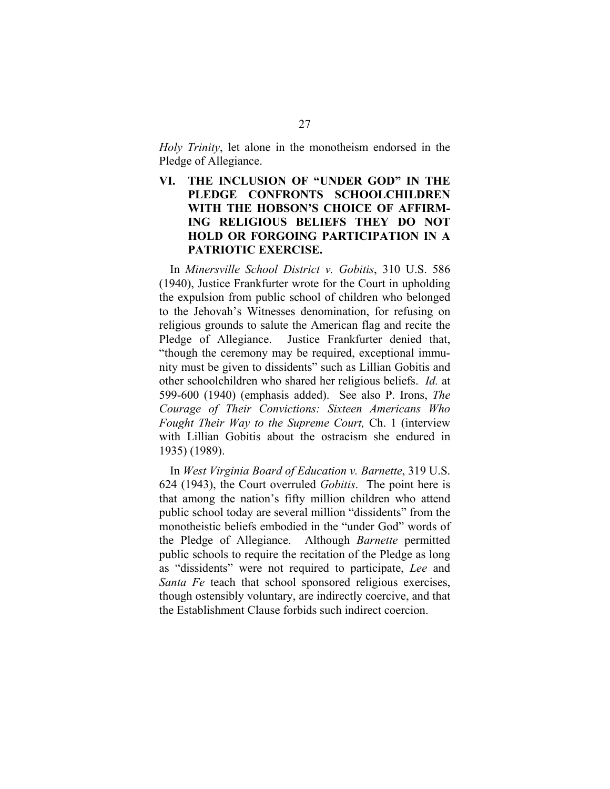<span id="page-32-0"></span>*Holy Trinity*, let alone in the monotheism endorsed in the Pledge of Allegiance.

**VI. THE INCLUSION OF "UNDER GOD" IN THE PLEDGE CONFRONTS SCHOOLCHILDREN WITH THE HOBSON'S CHOICE OF AFFIRM-ING RELIGIOUS BELIEFS THEY DO NOT HOLD OR FORGOING PARTICIPATION IN A PATRIOTIC EXERCISE.** 

In *Minersville School District v. Gobitis*, 310 U.S. 586 (1940), Justice Frankfurter wrote for the Court in upholding the expulsion from public school of children who belonged to the Jehovah's Witnesses denomination, for refusing on religious grounds to salute the American flag and recite the Pledge of Allegiance. Justice Frankfurter denied that, "though the ceremony may be required, exceptional immunity must be given to dissidents" such as Lillian Gobitis and other schoolchildren who shared her religious beliefs. *Id.* at 599-600 (1940) (emphasis added). See also P. Irons, *The Courage of Their Convictions: Sixteen Americans Who Fought Their Way to the Supreme Court,* Ch. 1 (interview with Lillian Gobitis about the ostracism she endured in 1935) (1989).

In *West Virginia Board of Education v. Barnette*, 319 U.S. 624 (1943), the Court overruled *Gobitis*. The point here is that among the nation's fifty million children who attend public school today are several million "dissidents" from the monotheistic beliefs embodied in the "under God" words of the Pledge of Allegiance. Although *Barnette* permitted public schools to require the recitation of the Pledge as long as "dissidents" were not required to participate, *Lee* and *Santa Fe* teach that school sponsored religious exercises, though ostensibly voluntary, are indirectly coercive, and that the Establishment Clause forbids such indirect coercion.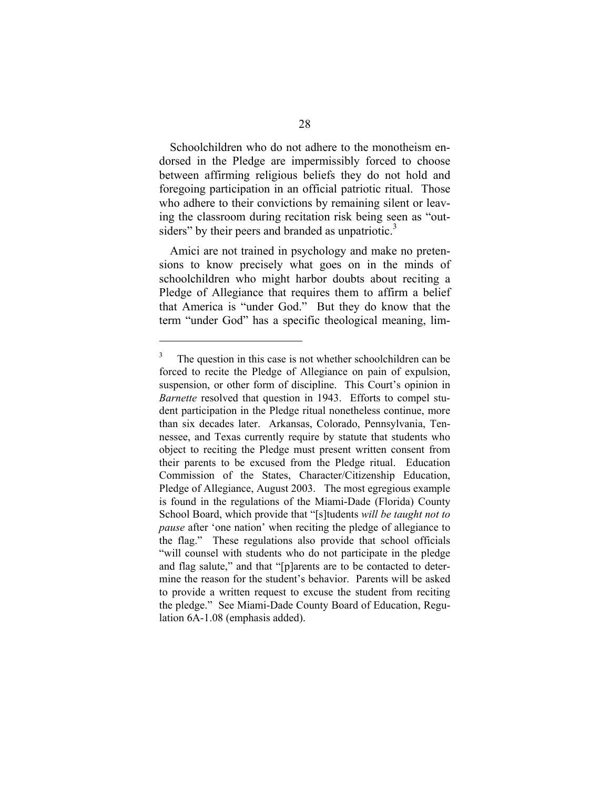Schoolchildren who do not adhere to the monotheism endorsed in the Pledge are impermissibly forced to choose between affirming religious beliefs they do not hold and foregoing participation in an official patriotic ritual. Those who adhere to their convictions by remaining silent or leaving the classroom during recitation risk being seen as "out-siders" by their peers and branded as unpatriotic.<sup>[3](#page-33-0)</sup>

Amici are not trained in psychology and make no pretensions to know precisely what goes on in the minds of schoolchildren who might harbor doubts about reciting a Pledge of Allegiance that requires them to affirm a belief that America is "under God." But they do know that the term "under God" has a specific theological meaning, lim-

l

<span id="page-33-0"></span><sup>&</sup>lt;sup>3</sup> The question in this case is not whether schoolchildren can be forced to recite the Pledge of Allegiance on pain of expulsion, suspension, or other form of discipline. This Court's opinion in *Barnette* resolved that question in 1943. Efforts to compel student participation in the Pledge ritual nonetheless continue, more than six decades later. Arkansas, Colorado, Pennsylvania, Tennessee, and Texas currently require by statute that students who object to reciting the Pledge must present written consent from their parents to be excused from the Pledge ritual. Education Commission of the States, Character/Citizenship Education, Pledge of Allegiance, August 2003. The most egregious example is found in the regulations of the Miami-Dade (Florida) County School Board, which provide that "[s]tudents *will be taught not to pause* after 'one nation' when reciting the pledge of allegiance to the flag." These regulations also provide that school officials "will counsel with students who do not participate in the pledge and flag salute," and that "[p]arents are to be contacted to determine the reason for the student's behavior. Parents will be asked to provide a written request to excuse the student from reciting the pledge." See Miami-Dade County Board of Education, Regulation 6A-1.08 (emphasis added).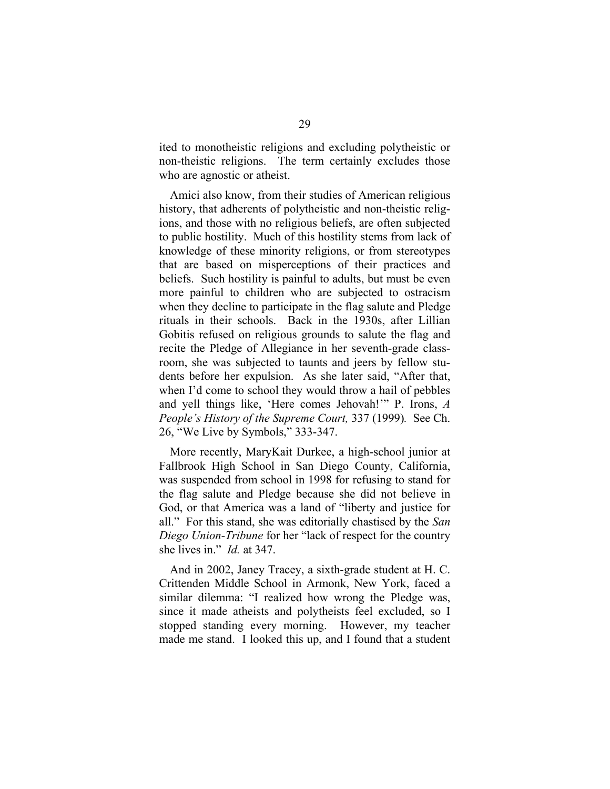ited to monotheistic religions and excluding polytheistic or non-theistic religions. The term certainly excludes those who are agnostic or atheist.

Amici also know, from their studies of American religious history, that adherents of polytheistic and non-theistic religions, and those with no religious beliefs, are often subjected to public hostility. Much of this hostility stems from lack of knowledge of these minority religions, or from stereotypes that are based on misperceptions of their practices and beliefs. Such hostility is painful to adults, but must be even more painful to children who are subjected to ostracism when they decline to participate in the flag salute and Pledge rituals in their schools. Back in the 1930s, after Lillian Gobitis refused on religious grounds to salute the flag and recite the Pledge of Allegiance in her seventh-grade classroom, she was subjected to taunts and jeers by fellow students before her expulsion. As she later said, "After that, when I'd come to school they would throw a hail of pebbles and yell things like, 'Here comes Jehovah!'" P. Irons, *A People's History of the Supreme Court,* 337 (1999)*.* See Ch. 26, "We Live by Symbols," 333-347.

More recently, MaryKait Durkee, a high-school junior at Fallbrook High School in San Diego County, California, was suspended from school in 1998 for refusing to stand for the flag salute and Pledge because she did not believe in God, or that America was a land of "liberty and justice for all." For this stand, she was editorially chastised by the *San Diego Union-Tribune* for her "lack of respect for the country she lives in." *Id.* at 347.

And in 2002, Janey Tracey, a sixth-grade student at H. C. Crittenden Middle School in Armonk, New York, faced a similar dilemma: "I realized how wrong the Pledge was, since it made atheists and polytheists feel excluded, so I stopped standing every morning. However, my teacher made me stand. I looked this up, and I found that a student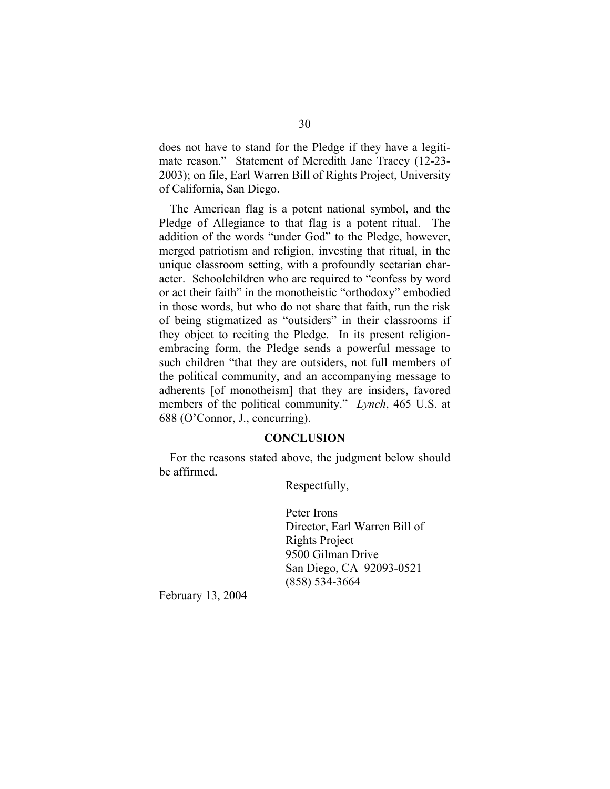<span id="page-35-0"></span>does not have to stand for the Pledge if they have a legitimate reason." Statement of Meredith Jane Tracey (12-23- 2003); on file, Earl Warren Bill of Rights Project, University of California, San Diego.

The American flag is a potent national symbol, and the Pledge of Allegiance to that flag is a potent ritual. The addition of the words "under God" to the Pledge, however, merged patriotism and religion, investing that ritual, in the unique classroom setting, with a profoundly sectarian character. Schoolchildren who are required to "confess by word or act their faith" in the monotheistic "orthodoxy" embodied in those words, but who do not share that faith, run the risk of being stigmatized as "outsiders" in their classrooms if they object to reciting the Pledge. In its present religionembracing form, the Pledge sends a powerful message to such children "that they are outsiders, not full members of the political community, and an accompanying message to adherents [of monotheism] that they are insiders, favored members of the political community." *Lynch*, 465 U.S. at 688 (O'Connor, J., concurring).

#### **CONCLUSION**

For the reasons stated above, the judgment below should be affirmed.

Respectfully,

Peter Irons Director, Earl Warren Bill of Rights Project 9500 Gilman Drive San Diego, CA 92093-0521 (858) 534-3664

February 13, 2004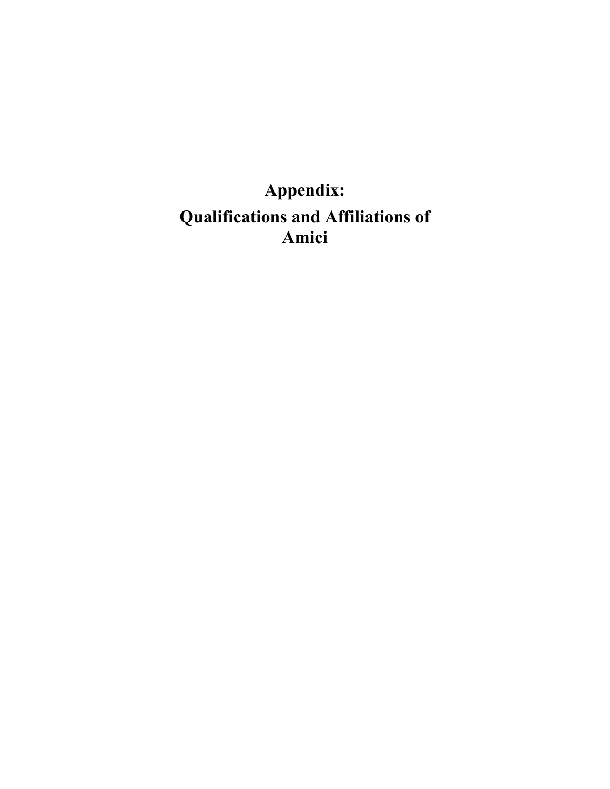# <span id="page-36-0"></span>**Appendix: Qualifications and Affiliations of Amici**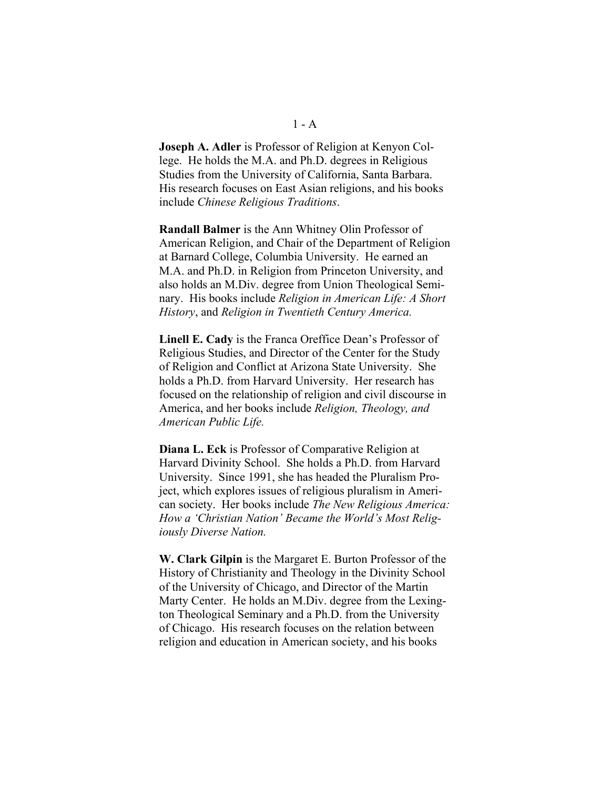**Joseph A. Adler** is Professor of Religion at Kenyon College. He holds the M.A. and Ph.D. degrees in Religious Studies from the University of California, Santa Barbara. His research focuses on East Asian religions, and his books include *Chinese Religious Traditions*.

**Randall Balmer** is the Ann Whitney Olin Professor of American Religion, and Chair of the Department of Religion at Barnard College, Columbia University. He earned an M.A. and Ph.D. in Religion from Princeton University, and also holds an M.Div. degree from Union Theological Seminary. His books include *Religion in American Life: A Short History*, and *Religion in Twentieth Century America.* 

**Linell E. Cady** is the Franca Oreffice Dean's Professor of Religious Studies, and Director of the Center for the Study of Religion and Conflict at Arizona State University. She holds a Ph.D. from Harvard University. Her research has focused on the relationship of religion and civil discourse in America, and her books include *Religion, Theology, and American Public Life.* 

**Diana L. Eck** is Professor of Comparative Religion at Harvard Divinity School. She holds a Ph.D. from Harvard University. Since 1991, she has headed the Pluralism Project, which explores issues of religious pluralism in American society. Her books include *The New Religious America: How a 'Christian Nation' Became the World's Most Religiously Diverse Nation.* 

**W. Clark Gilpin** is the Margaret E. Burton Professor of the History of Christianity and Theology in the Divinity School of the University of Chicago, and Director of the Martin Marty Center. He holds an M.Div. degree from the Lexington Theological Seminary and a Ph.D. from the University of Chicago. His research focuses on the relation between religion and education in American society, and his books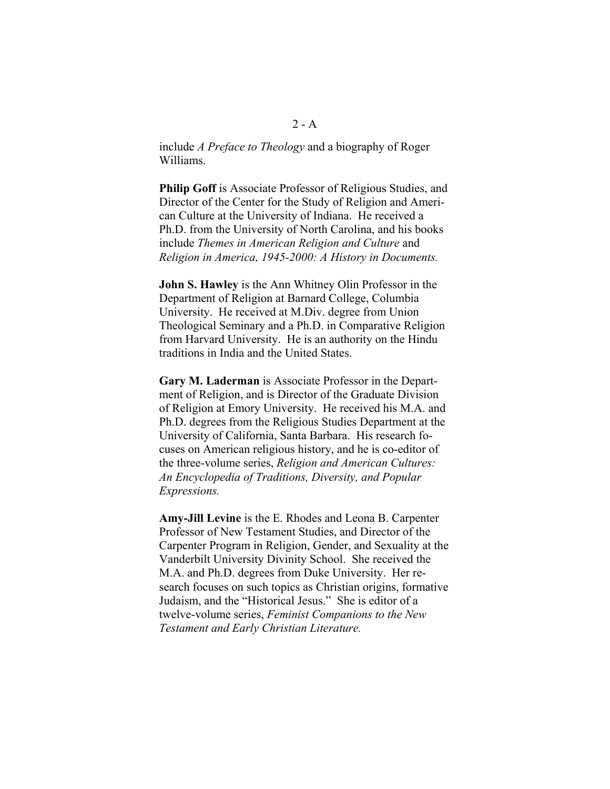include *A Preface to Theology* and a biography of Roger Williams.

**Philip Goff** is Associate Professor of Religious Studies, and Director of the Center for the Study of Religion and American Culture at the University of Indiana. He received a Ph.D. from the University of North Carolina, and his books include *Themes in American Religion and Culture* and *Religion in America, 1945-2000: A History in Documents.* 

**John S. Hawley** is the Ann Whitney Olin Professor in the Department of Religion at Barnard College, Columbia University. He received at M.Div. degree from Union Theological Seminary and a Ph.D. in Comparative Religion from Harvard University. He is an authority on the Hindu traditions in India and the United States.

**Gary M. Laderman** is Associate Professor in the Department of Religion, and is Director of the Graduate Division of Religion at Emory University. He received his M.A. and Ph.D. degrees from the Religious Studies Department at the University of California, Santa Barbara. His research focuses on American religious history, and he is co-editor of the three-volume series, *Religion and American Cultures: An Encyclopedia of Traditions, Diversity, and Popular Expressions.* 

**Amy-Jill Levine** is the E. Rhodes and Leona B. Carpenter Professor of New Testament Studies, and Director of the Carpenter Program in Religion, Gender, and Sexuality at the Vanderbilt University Divinity School. She received the M.A. and Ph.D. degrees from Duke University. Her research focuses on such topics as Christian origins, formative Judaism, and the "Historical Jesus." She is editor of a twelve-volume series, *Feminist Companions to the New Testament and Early Christian Literature.*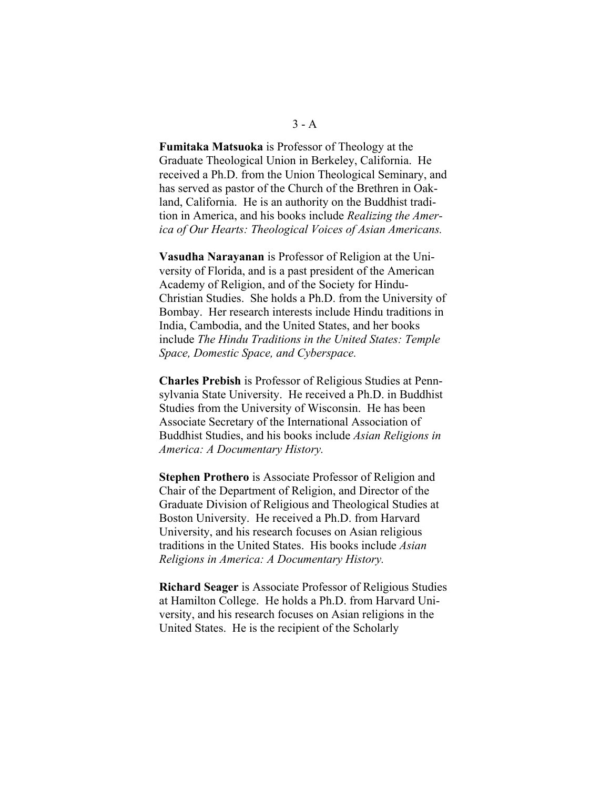**Fumitaka Matsuoka** is Professor of Theology at the Graduate Theological Union in Berkeley, California. He received a Ph.D. from the Union Theological Seminary, and has served as pastor of the Church of the Brethren in Oakland, California. He is an authority on the Buddhist tradition in America, and his books include *Realizing the America of Our Hearts: Theological Voices of Asian Americans.* 

**Vasudha Narayanan** is Professor of Religion at the University of Florida, and is a past president of the American Academy of Religion, and of the Society for Hindu-Christian Studies. She holds a Ph.D. from the University of Bombay. Her research interests include Hindu traditions in India, Cambodia, and the United States, and her books include *The Hindu Traditions in the United States: Temple Space, Domestic Space, and Cyberspace.* 

**Charles Prebish** is Professor of Religious Studies at Pennsylvania State University. He received a Ph.D. in Buddhist Studies from the University of Wisconsin. He has been Associate Secretary of the International Association of Buddhist Studies, and his books include *Asian Religions in America: A Documentary History.* 

**Stephen Prothero** is Associate Professor of Religion and Chair of the Department of Religion, and Director of the Graduate Division of Religious and Theological Studies at Boston University. He received a Ph.D. from Harvard University, and his research focuses on Asian religious traditions in the United States. His books include *Asian Religions in America: A Documentary History.* 

**Richard Seager** is Associate Professor of Religious Studies at Hamilton College. He holds a Ph.D. from Harvard University, and his research focuses on Asian religions in the United States. He is the recipient of the Scholarly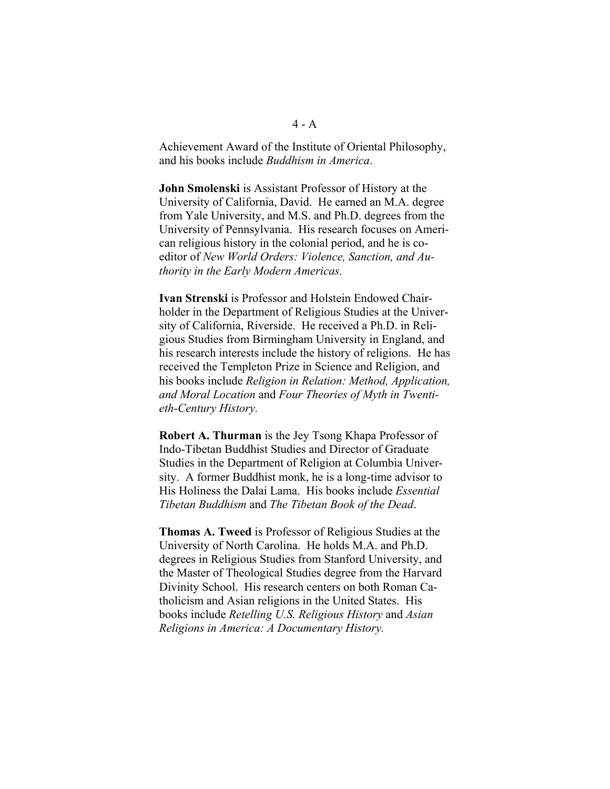Achievement Award of the Institute of Oriental Philosophy, and his books include *Buddhism in America*.

**John Smolenski** is Assistant Professor of History at the University of California, David. He earned an M.A. degree from Yale University, and M.S. and Ph.D. degrees from the University of Pennsylvania. His research focuses on American religious history in the colonial period, and he is coeditor of *New World Orders: Violence, Sanction, and Authority in the Early Modern Americas.* 

**Ivan Strenski** is Professor and Holstein Endowed Chairholder in the Department of Religious Studies at the University of California, Riverside. He received a Ph.D. in Religious Studies from Birmingham University in England, and his research interests include the history of religions. He has received the Templeton Prize in Science and Religion, and his books include *Religion in Relation: Method, Application, and Moral Location* and *Four Theories of Myth in Twentieth-Century History.* 

**Robert A. Thurman** is the Jey Tsong Khapa Professor of Indo-Tibetan Buddhist Studies and Director of Graduate Studies in the Department of Religion at Columbia University. A former Buddhist monk, he is a long-time advisor to His Holiness the Dalai Lama. His books include *Essential Tibetan Buddhism* and *The Tibetan Book of the Dead*.

**Thomas A. Tweed** is Professor of Religious Studies at the University of North Carolina. He holds M.A. and Ph.D. degrees in Religious Studies from Stanford University, and the Master of Theological Studies degree from the Harvard Divinity School. His research centers on both Roman Catholicism and Asian religions in the United States. His books include *Retelling U.S. Religious History* and *Asian Religions in America: A Documentary History.*